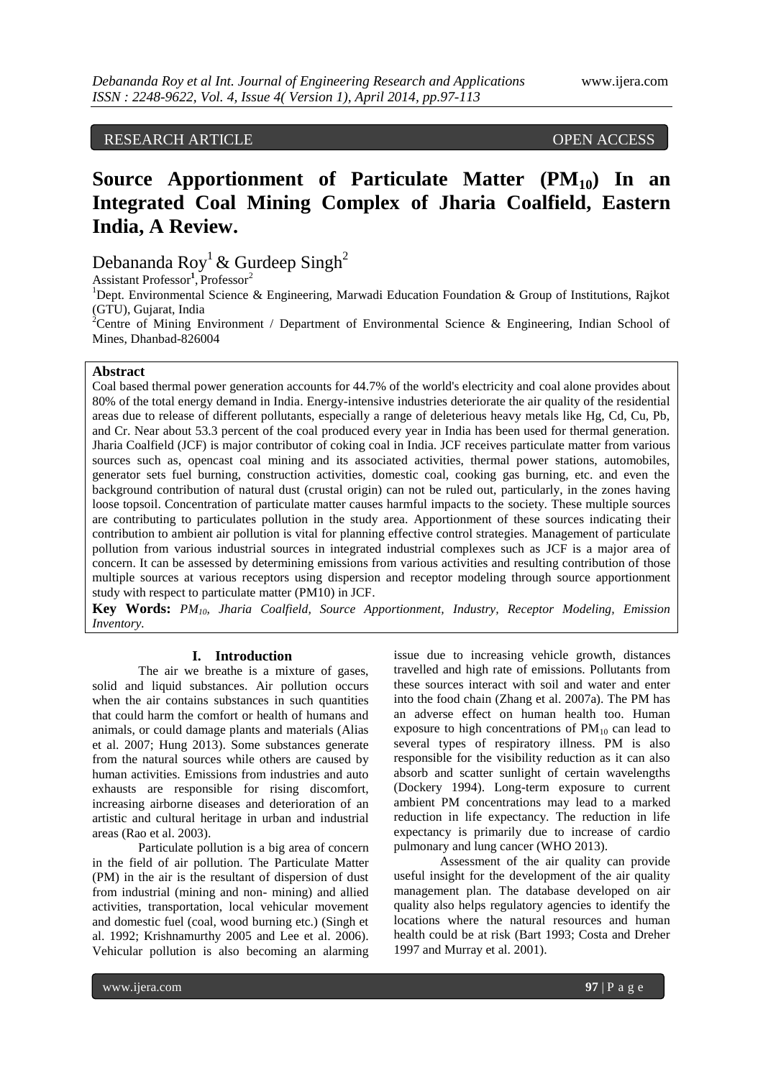RESEARCH ARTICLE OPEN ACCESS

# **Source Apportionment of Particulate Matter (PM10) In an Integrated Coal Mining Complex of Jharia Coalfield, Eastern India, A Review.**

Debananda Roy<sup>1</sup> & Gurdeep Singh<sup>2</sup>

Assistant Professor<sup>1</sup>, Professor<sup>2</sup>

<sup>1</sup>Dept. Environmental Science & Engineering, Marwadi Education Foundation & Group of Institutions, Rajkot (GTU), Gujarat, India

<sup>2</sup>Centre of Mining Environment / Department of Environmental Science & Engineering, Indian School of Mines, Dhanbad-826004

### **Abstract**

Coal based thermal power generation accounts for 44.7% of the world's electricity and coal alone provides about 80% of the total energy demand in India. Energy-intensive industries deteriorate the air quality of the residential areas due to release of different pollutants, especially a range of deleterious heavy metals like Hg, Cd, Cu, Pb, and Cr. Near about 53.3 percent of the coal produced every year in India has been used for thermal generation. Jharia Coalfield (JCF) is major contributor of coking coal in India. JCF receives particulate matter from various sources such as, opencast coal mining and its associated activities, thermal power stations, automobiles, generator sets fuel burning, construction activities, domestic coal, cooking gas burning, etc. and even the background contribution of natural dust (crustal origin) can not be ruled out, particularly, in the zones having loose topsoil. Concentration of particulate matter causes harmful impacts to the society. These multiple sources are contributing to particulates pollution in the study area. Apportionment of these sources indicating their contribution to ambient air pollution is vital for planning effective control strategies. Management of particulate pollution from various industrial sources in integrated industrial complexes such as JCF is a major area of concern. It can be assessed by determining emissions from various activities and resulting contribution of those multiple sources at various receptors using dispersion and receptor modeling through source apportionment study with respect to particulate matter (PM10) in JCF.

**Key Words:** *PM10, Jharia Coalfield, Source Apportionment, Industry, Receptor Modeling, Emission Inventory.*

#### **I. Introduction**

The air we breathe is a mixture of gases, solid and liquid substances. Air pollution occurs when the air contains substances in such quantities that could harm the comfort or health of humans and animals, or could damage plants and materials (Alias et al. 2007; Hung 2013). Some substances generate from the natural sources while others are caused by human activities. Emissions from industries and auto exhausts are responsible for rising discomfort, increasing airborne diseases and deterioration of an artistic and cultural heritage in urban and industrial areas (Rao et al. 2003).

Particulate pollution is a big area of concern in the field of air pollution. The Particulate Matter (PM) in the air is the resultant of dispersion of dust from industrial (mining and non- mining) and allied activities, transportation, local vehicular movement and domestic fuel (coal, wood burning etc.) (Singh et al. 1992; Krishnamurthy 2005 and Lee et al. 2006). Vehicular pollution is also becoming an alarming

issue due to increasing vehicle growth, distances travelled and high rate of emissions. Pollutants from these sources interact with soil and water and enter into the food chain (Zhang et al. 2007a). The PM has an adverse effect on human health too. Human exposure to high concentrations of  $PM_{10}$  can lead to several types of respiratory illness. PM is also responsible for the visibility reduction as it can also absorb and scatter sunlight of certain wavelengths (Dockery 1994). Long-term exposure to current ambient PM concentrations may lead to a marked reduction in life expectancy. The reduction in life expectancy is primarily due to increase of cardio pulmonary and lung cancer (WHO 2013).

Assessment of the air quality can provide useful insight for the development of the air quality management plan. The database developed on air quality also helps regulatory agencies to identify the locations where the natural resources and human health could be at risk (Bart 1993; Costa and Dreher 1997 and Murray et al. 2001).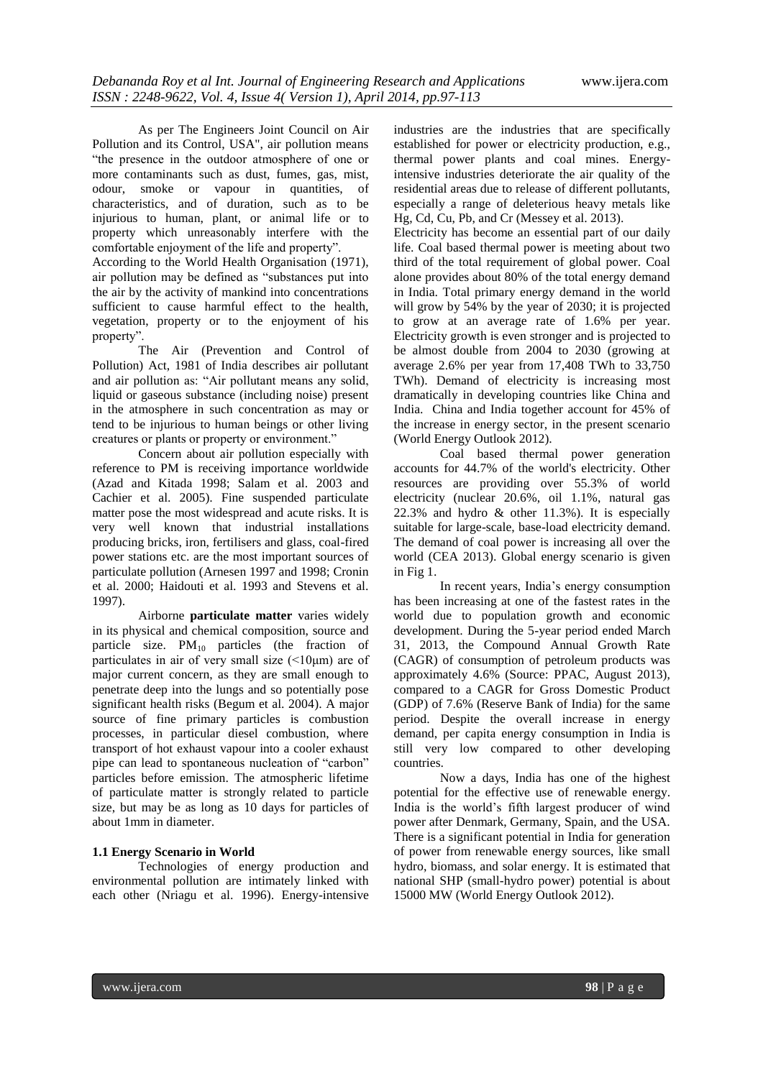As per The Engineers Joint Council on Air Pollution and its Control, USA", air pollution means "the presence in the outdoor atmosphere of one or more contaminants such as dust, fumes, gas, mist, odour, smoke or vapour in quantities, of characteristics, and of duration, such as to be injurious to human, plant, or animal life or to property which unreasonably interfere with the comfortable enjoyment of the life and property".

According to the World Health Organisation (1971), air pollution may be defined as "substances put into the air by the activity of mankind into concentrations sufficient to cause harmful effect to the health, vegetation, property or to the enjoyment of his property".

The Air (Prevention and Control of Pollution) Act, 1981 of India describes air pollutant and air pollution as: "Air pollutant means any solid, liquid or gaseous substance (including noise) present in the atmosphere in such concentration as may or tend to be injurious to human beings or other living creatures or plants or property or environment."

Concern about air pollution especially with reference to PM is receiving importance worldwide (Azad and Kitada 1998; Salam et al. 2003 and Cachier et al. 2005). Fine suspended particulate matter pose the most widespread and acute risks. It is very well known that industrial installations producing bricks, iron, fertilisers and glass, coal-fired power stations etc. are the most important sources of particulate pollution (Arnesen 1997 and 1998; Cronin et al. 2000; Haidouti et al. 1993 and Stevens et al. 1997).

Airborne **particulate matter** varies widely in its physical and chemical composition, source and particle size.  $PM_{10}$  particles (the fraction of particulates in air of very small size  $(\leq 10 \mu m)$  are of major current concern, as they are small enough to penetrate deep into the lungs and so potentially pose significant health risks (Begum et al. 2004). A major source of fine primary particles is combustion processes, in particular diesel combustion, where transport of hot exhaust vapour into a cooler exhaust pipe can lead to spontaneous nucleation of "carbon" particles before emission. The atmospheric lifetime of particulate matter is strongly related to particle size, but may be as long as 10 days for particles of about 1mm in diameter.

# **1.1 Energy Scenario in World**

Technologies of energy production and environmental pollution are intimately linked with each other (Nriagu et al. 1996). Energy-intensive industries are the industries that are specifically established for power or electricity production, e.g., thermal power plants and coal mines. Energyintensive industries deteriorate the air quality of the residential areas due to release of different pollutants, especially a range of deleterious heavy metals like Hg, Cd, Cu, Pb, and Cr (Messey et al. 2013).

Electricity has become an essential part of our daily life. Coal based thermal power is meeting about two third of the total requirement of global power. Coal alone provides about 80% of the total energy demand in India. Total primary energy demand in the world will grow by 54% by the year of 2030; it is projected to grow at an average rate of 1.6% per year. Electricity growth is even stronger and is projected to be almost double from 2004 to 2030 (growing at average 2.6% per year from 17,408 TWh to 33,750 TWh). Demand of electricity is increasing most dramatically in developing countries like China and India. China and India together account for 45% of the increase in energy sector, in the present scenario (World Energy Outlook 2012).

Coal based thermal power generation accounts for 44.7% of the world's electricity. Other resources are providing over 55.3% of world electricity (nuclear 20.6%, oil 1.1%, natural gas 22.3% and hydro & other 11.3%). It is especially suitable for large-scale, base-load electricity demand. The demand of coal power is increasing all over the world (CEA 2013). Global energy scenario is given in Fig 1.

In recent years, India's energy consumption has been increasing at one of the fastest rates in the world due to population growth and economic development. During the 5-year period ended March 31, 2013, the Compound Annual Growth Rate (CAGR) of consumption of petroleum products was approximately 4.6% (Source: PPAC, August 2013), compared to a CAGR for Gross Domestic Product (GDP) of 7.6% (Reserve Bank of India) for the same period. Despite the overall increase in energy demand, per capita energy consumption in India is still very low compared to other developing countries.

Now a days, India has one of the highest potential for the effective use of renewable energy. India is the world's fifth largest producer of wind power after Denmark, Germany, Spain, and the USA. There is a significant potential in India for generation of power from renewable energy sources, like small hydro, biomass, and solar energy. It is estimated that national SHP (small-hydro power) potential is about 15000 MW (World Energy Outlook 2012).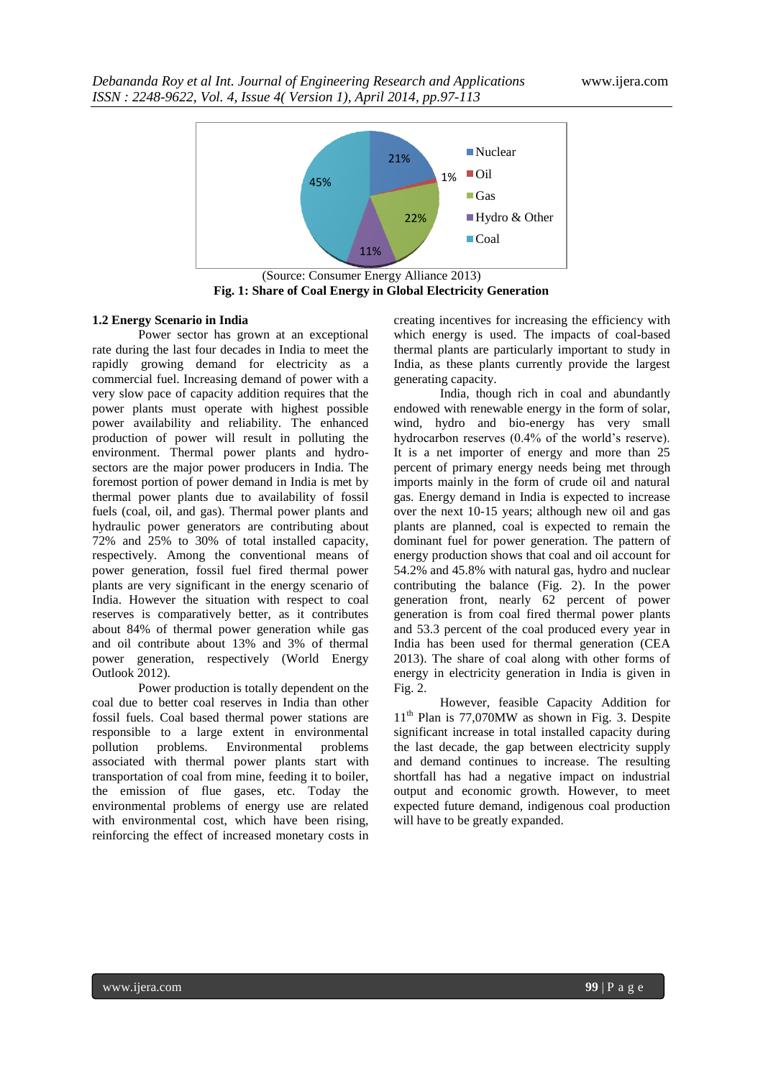

**Fig. 1: Share of Coal Energy in Global Electricity Generation**

## **1.2 Energy Scenario in India**

Power sector has grown at an exceptional rate during the last four decades in India to meet the rapidly growing demand for electricity as a commercial fuel. Increasing demand of power with a very slow pace of capacity addition requires that the power plants must operate with highest possible power availability and reliability. The enhanced production of power will result in polluting the environment. Thermal power plants and hydrosectors are the major power producers in India. The foremost portion of power demand in India is met by thermal power plants due to availability of fossil fuels (coal, oil, and gas). Thermal power plants and hydraulic power generators are contributing about 72% and 25% to 30% of total installed capacity, respectively. Among the conventional means of power generation, fossil fuel fired thermal power plants are very significant in the energy scenario of India. However the situation with respect to coal reserves is comparatively better, as it contributes about 84% of thermal power generation while gas and oil contribute about 13% and 3% of thermal power generation, respectively (World Energy Outlook 2012).

Power production is totally dependent on the coal due to better coal reserves in India than other fossil fuels. Coal based thermal power stations are responsible to a large extent in environmental pollution problems. Environmental problems associated with thermal power plants start with transportation of coal from mine, feeding it to boiler, the emission of flue gases, etc. Today the environmental problems of energy use are related with environmental cost, which have been rising, reinforcing the effect of increased monetary costs in

creating incentives for increasing the efficiency with which energy is used. The impacts of coal-based thermal plants are particularly important to study in India, as these plants currently provide the largest generating capacity.

India, though rich in coal and abundantly endowed with renewable energy in the form of solar, wind, hydro and bio-energy has very small hydrocarbon reserves (0.4% of the world's reserve). It is a net importer of energy and more than 25 percent of primary energy needs being met through imports mainly in the form of crude oil and natural gas. Energy demand in India is expected to increase over the next 10-15 years; although new oil and gas plants are planned, coal is expected to remain the dominant fuel for power generation. The pattern of energy production shows that coal and oil account for 54.2% and 45.8% with natural gas, hydro and nuclear contributing the balance (Fig. 2). In the power generation front, nearly 62 percent of power generation is from coal fired thermal power plants and 53.3 percent of the coal produced every year in India has been used for thermal generation (CEA 2013). The share of coal along with other forms of energy in electricity generation in India is given in Fig. 2.

However, feasible Capacity Addition for 11<sup>th</sup> Plan is 77,070MW as shown in Fig. 3. Despite significant increase in total installed capacity during the last decade, the gap between electricity supply and demand continues to increase. The resulting shortfall has had a negative impact on industrial output and economic growth. However, to meet expected future demand, indigenous coal production will have to be greatly expanded.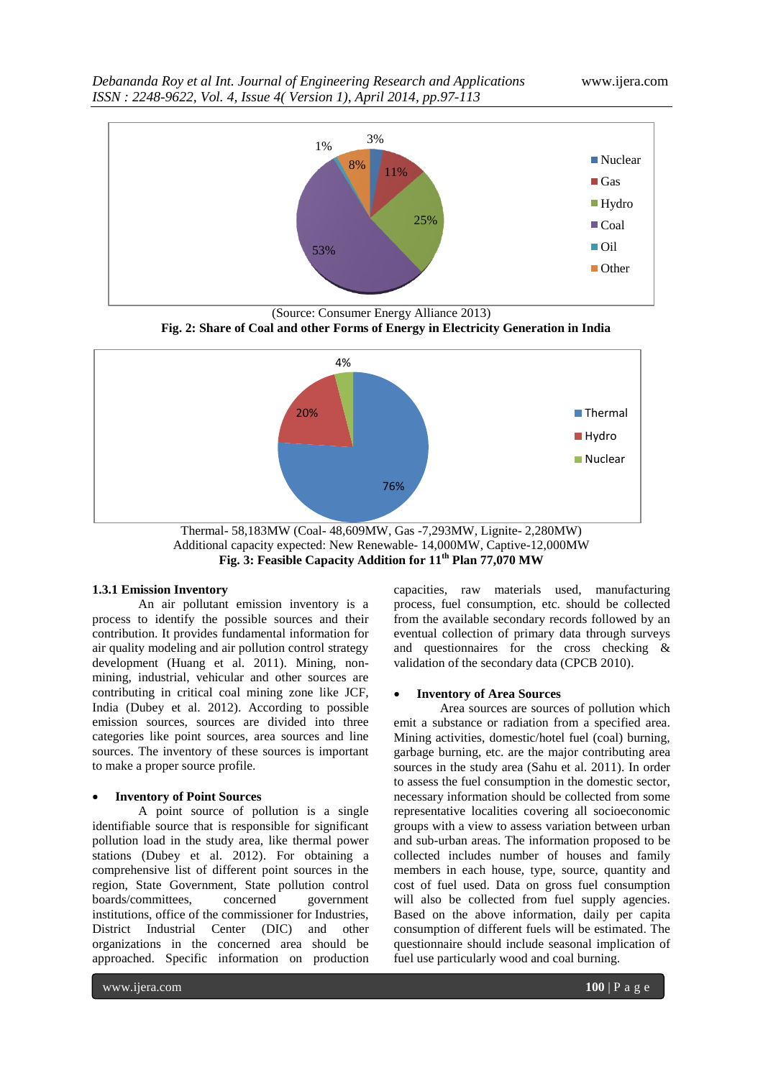

(Source: Consumer Energy Alliance 2013)  **Fig. 2: Share of Coal and other Forms of Energy in Electricity Generation in India** 



Thermal- 58,183MW (Coal- 48,609MW, Gas -7,293MW, Lignite- 2,280MW) Additional capacity expected: New Renewable- 14,000MW, Captive-12,000MW **Fig. 3: Feasible Capacity Addition for 11th Plan 77,070 MW**

# **1.3.1 Emission Inventory**

An air pollutant emission inventory is a process to identify the possible sources and their contribution. It provides fundamental information for air quality modeling and air pollution control strategy development (Huang et al. 2011). Mining, nonmining, industrial, vehicular and other sources are contributing in critical coal mining zone like JCF, India (Dubey et al. 2012). According to possible emission sources, sources are divided into three categories like point sources, area sources and line sources. The inventory of these sources is important to make a proper source profile.

#### **Inventory of Point Sources**

A point source of pollution is a single identifiable source that is responsible for significant pollution load in the study area, like thermal power stations (Dubey et al. 2012). For obtaining a comprehensive list of different point sources in the region, State Government, State pollution control<br>boards/committees, concerned government boards/committees, concerned institutions, office of the commissioner for Industries, District Industrial Center (DIC) and other organizations in the concerned area should be approached. Specific information on production

capacities, raw materials used, manufacturing process, fuel consumption, etc. should be collected from the available secondary records followed by an eventual collection of primary data through surveys and questionnaires for the cross checking & validation of the secondary data (CPCB 2010).

#### **Inventory of Area Sources**

Area sources are sources of pollution which emit a substance or radiation from a specified area. Mining activities, domestic/hotel fuel (coal) burning, garbage burning, etc. are the major contributing area sources in the study area (Sahu et al. 2011). In order to assess the fuel consumption in the domestic sector, necessary information should be collected from some representative localities covering all socioeconomic groups with a view to assess variation between urban and sub-urban areas. The information proposed to be collected includes number of houses and family members in each house, type, source, quantity and cost of fuel used. Data on gross fuel consumption will also be collected from fuel supply agencies. Based on the above information, daily per capita consumption of different fuels will be estimated. The questionnaire should include seasonal implication of fuel use particularly wood and coal burning.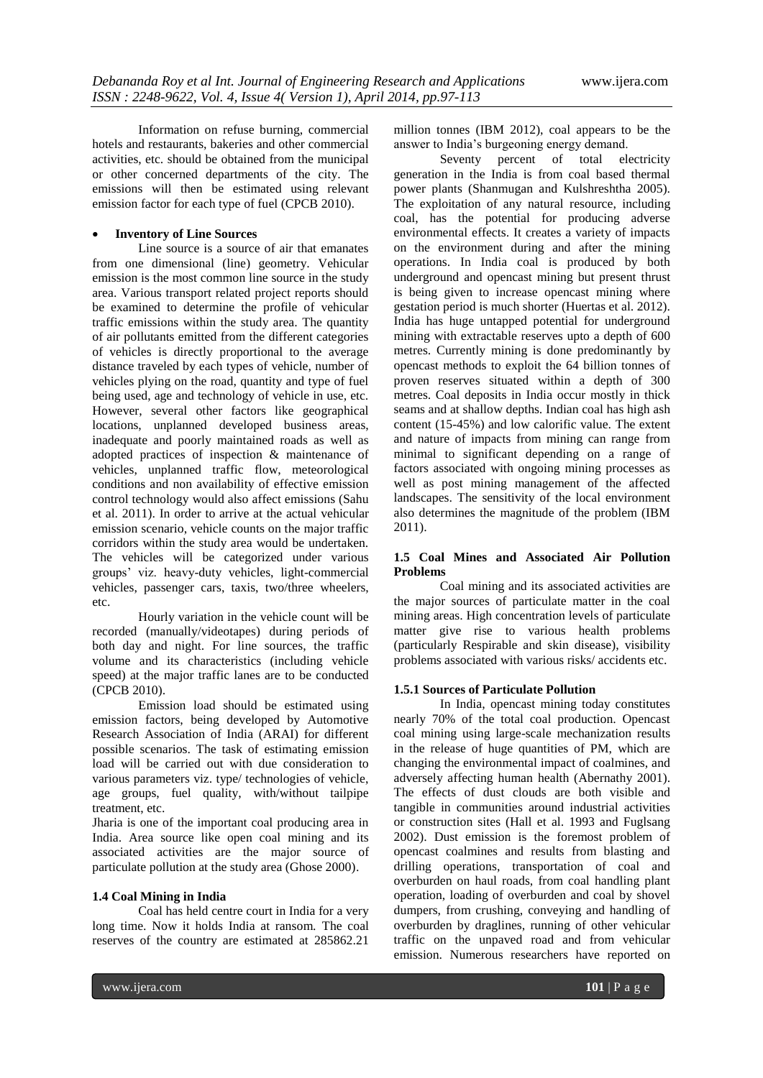Information on refuse burning, commercial hotels and restaurants, bakeries and other commercial activities, etc. should be obtained from the municipal or other concerned departments of the city. The emissions will then be estimated using relevant emission factor for each type of fuel (CPCB 2010).

# **Inventory of Line Sources**

Line source is a source of air that emanates from one dimensional (line) geometry. Vehicular emission is the most common line source in the study area. Various transport related project reports should be examined to determine the profile of vehicular traffic emissions within the study area. The quantity of air pollutants emitted from the different categories of vehicles is directly proportional to the average distance traveled by each types of vehicle, number of vehicles plying on the road, quantity and type of fuel being used, age and technology of vehicle in use, etc. However, several other factors like geographical locations, unplanned developed business areas, inadequate and poorly maintained roads as well as adopted practices of inspection & maintenance of vehicles, unplanned traffic flow, meteorological conditions and non availability of effective emission control technology would also affect emissions (Sahu et al. 2011). In order to arrive at the actual vehicular emission scenario, vehicle counts on the major traffic corridors within the study area would be undertaken. The vehicles will be categorized under various groups' viz. heavy-duty vehicles, light-commercial vehicles, passenger cars, taxis, two/three wheelers, etc.

Hourly variation in the vehicle count will be recorded (manually/videotapes) during periods of both day and night. For line sources, the traffic volume and its characteristics (including vehicle speed) at the major traffic lanes are to be conducted (CPCB 2010).

Emission load should be estimated using emission factors, being developed by Automotive Research Association of India (ARAI) for different possible scenarios. The task of estimating emission load will be carried out with due consideration to various parameters viz. type/ technologies of vehicle, age groups, fuel quality, with/without tailpipe treatment, etc.

Jharia is one of the important coal producing area in India. Area source like open coal mining and its associated activities are the major source of particulate pollution at the study area (Ghose 2000).

#### **1.4 Coal Mining in India**

Coal has held centre court in India for a very long time. Now it holds India at ransom. The coal reserves of the country are estimated at 285862.21

million tonnes (IBM 2012), coal appears to be the answer to India's burgeoning energy demand.

Seventy percent of total electricity generation in the India is from coal based thermal power plants (Shanmugan and Kulshreshtha 2005). The exploitation of any natural resource, including coal, has the potential for producing adverse environmental effects. It creates a variety of impacts on the environment during and after the mining operations. In India coal is produced by both underground and opencast mining but present thrust is being given to increase opencast mining where gestation period is much shorter (Huertas et al. 2012). India has huge untapped potential for underground mining with extractable reserves upto a depth of 600 metres. Currently mining is done predominantly by opencast methods to exploit the 64 billion tonnes of proven reserves situated within a depth of 300 metres. Coal deposits in India occur mostly in thick seams and at shallow depths. Indian coal has high ash content (15-45%) and low calorific value. The extent and nature of impacts from mining can range from minimal to significant depending on a range of factors associated with ongoing mining processes as well as post mining management of the affected landscapes. The sensitivity of the local environment also determines the magnitude of the problem (IBM 2011).

#### **1.5 Coal Mines and Associated Air Pollution Problems**

Coal mining and its associated activities are the major sources of particulate matter in the coal mining areas. High concentration levels of particulate matter give rise to various health problems (particularly Respirable and skin disease), visibility problems associated with various risks/ accidents etc.

#### **1.5.1 Sources of Particulate Pollution**

In India, opencast mining today constitutes nearly 70% of the total coal production. Opencast coal mining using large-scale mechanization results in the release of huge quantities of PM, which are changing the environmental impact of coalmines, and adversely affecting human health (Abernathy 2001). The effects of dust clouds are both visible and tangible in communities around industrial activities or construction sites (Hall et al. 1993 and Fuglsang 2002). Dust emission is the foremost problem of opencast coalmines and results from blasting and drilling operations, transportation of coal and overburden on haul roads, from coal handling plant operation, loading of overburden and coal by shovel dumpers, from crushing, conveying and handling of overburden by draglines, running of other vehicular traffic on the unpaved road and from vehicular emission. Numerous researchers have reported on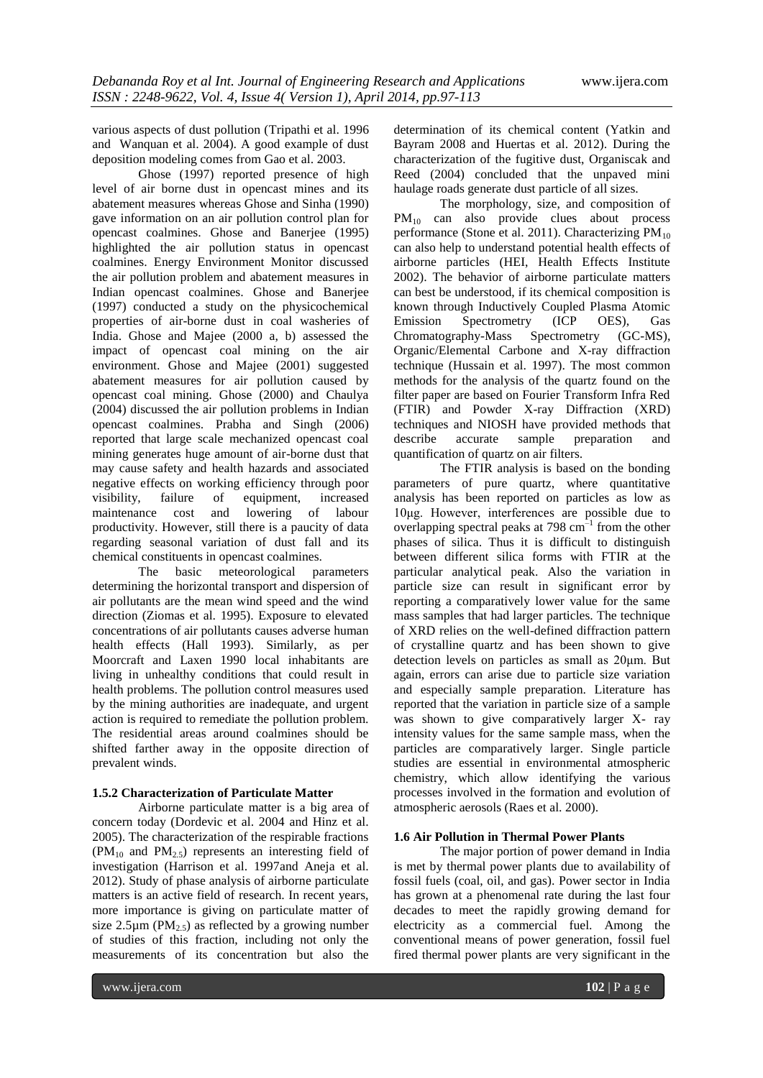various aspects of dust pollution (Tripathi et al. 1996 and Wanquan et al. 2004). A good example of dust deposition modeling comes from Gao et al. 2003.

Ghose (1997) reported presence of high level of air borne dust in opencast mines and its abatement measures whereas Ghose and Sinha (1990) gave information on an air pollution control plan for opencast coalmines. Ghose and Banerjee (1995) highlighted the air pollution status in opencast coalmines. Energy Environment Monitor discussed the air pollution problem and abatement measures in Indian opencast coalmines. Ghose and Banerjee (1997) conducted a study on the physicochemical properties of air-borne dust in coal washeries of India. Ghose and Majee (2000 a, b) assessed the impact of opencast coal mining on the air environment. Ghose and Majee (2001) suggested abatement measures for air pollution caused by opencast coal mining. Ghose (2000) and Chaulya (2004) discussed the air pollution problems in Indian opencast coalmines. Prabha and Singh (2006) reported that large scale mechanized opencast coal mining generates huge amount of air-borne dust that may cause safety and health hazards and associated negative effects on working efficiency through poor visibility, failure of equipment, increased maintenance cost and lowering of labour productivity. However, still there is a paucity of data regarding seasonal variation of dust fall and its chemical constituents in opencast coalmines.

The basic meteorological parameters determining the horizontal transport and dispersion of air pollutants are the mean wind speed and the wind direction (Ziomas et al. 1995). Exposure to elevated concentrations of air pollutants causes adverse human health effects (Hall 1993). Similarly, as per Moorcraft and Laxen 1990 local inhabitants are living in unhealthy conditions that could result in health problems. The pollution control measures used by the mining authorities are inadequate, and urgent action is required to remediate the pollution problem. The residential areas around coalmines should be shifted farther away in the opposite direction of prevalent winds.

#### **1.5.2 Characterization of Particulate Matter**

Airborne particulate matter is a big area of concern today (Dordevic et al. 2004 and Hinz et al. 2005). The characterization of the respirable fractions  $(PM_{10}$  and  $PM_{25}$  represents an interesting field of investigation (Harrison et al. 1997and Aneja et al. 2012). Study of phase analysis of airborne particulate matters is an active field of research. In recent years, more importance is giving on particulate matter of size 2.5 $\mu$ m (PM<sub>2.5</sub>) as reflected by a growing number of studies of this fraction, including not only the measurements of its concentration but also the

determination of its chemical content (Yatkin and Bayram 2008 and Huertas et al. 2012). During the characterization of the fugitive dust, Organiscak and Reed (2004) concluded that the unpaved mini haulage roads generate dust particle of all sizes.

The morphology, size, and composition of PM<sup>10</sup> can also provide clues about process performance (Stone et al. 2011). Characterizing  $PM_{10}$ can also help to understand potential health effects of airborne particles (HEI, Health Effects Institute 2002). The behavior of airborne particulate matters can best be understood, if its chemical composition is known through Inductively Coupled Plasma Atomic Emission Spectrometry (ICP OES), Gas Chromatography-Mass Spectrometry (GC-MS), Organic/Elemental Carbone and X-ray diffraction technique (Hussain et al. 1997). The most common methods for the analysis of the quartz found on the filter paper are based on Fourier Transform Infra Red (FTIR) and Powder X-ray Diffraction (XRD) techniques and NIOSH have provided methods that describe accurate sample preparation and quantification of quartz on air filters.

The FTIR analysis is based on the bonding parameters of pure quartz, where quantitative analysis has been reported on particles as low as 10μg. However, interferences are possible due to overlapping spectral peaks at 798  $\text{cm}^{-1}$  from the other phases of silica. Thus it is difficult to distinguish between different silica forms with FTIR at the particular analytical peak. Also the variation in particle size can result in significant error by reporting a comparatively lower value for the same mass samples that had larger particles. The technique of XRD relies on the well-defined diffraction pattern of crystalline quartz and has been shown to give detection levels on particles as small as 20μm. But again, errors can arise due to particle size variation and especially sample preparation. Literature has reported that the variation in particle size of a sample was shown to give comparatively larger X- ray intensity values for the same sample mass, when the particles are comparatively larger. Single particle studies are essential in environmental atmospheric chemistry, which allow identifying the various processes involved in the formation and evolution of atmospheric aerosols (Raes et al. 2000).

#### **1.6 Air Pollution in Thermal Power Plants**

The major portion of power demand in India is met by thermal power plants due to availability of fossil fuels (coal, oil, and gas). Power sector in India has grown at a phenomenal rate during the last four decades to meet the rapidly growing demand for electricity as a commercial fuel. Among the conventional means of power generation, fossil fuel fired thermal power plants are very significant in the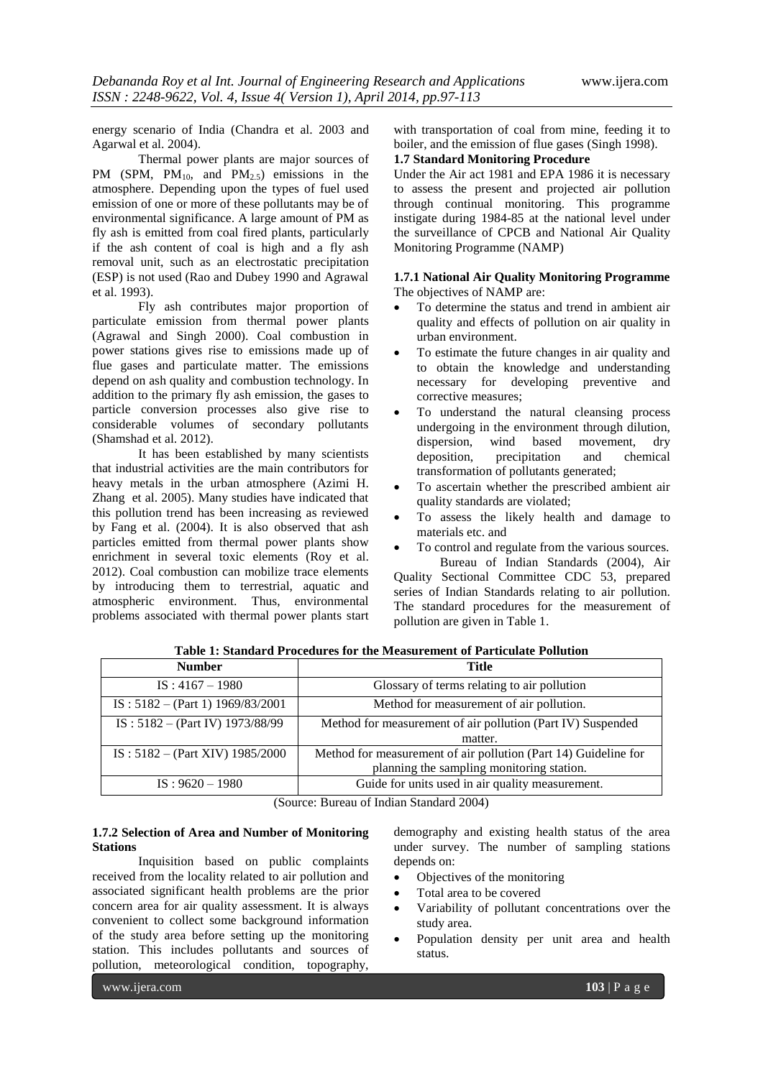energy scenario of India (Chandra et al. 2003 and Agarwal et al. 2004).

Thermal power plants are major sources of PM (SPM,  $PM_{10}$ , and  $PM_{2.5}$ ) emissions in the atmosphere. Depending upon the types of fuel used emission of one or more of these pollutants may be of environmental significance. A large amount of PM as fly ash is emitted from coal fired plants, particularly if the ash content of coal is high and a fly ash removal unit, such as an electrostatic precipitation (ESP) is not used (Rao and Dubey 1990 and Agrawal et al. 1993).

Fly ash contributes major proportion of particulate emission from thermal power plants (Agrawal and Singh 2000). Coal combustion in power stations gives rise to emissions made up of flue gases and particulate matter. The emissions depend on ash quality and combustion technology. In addition to the primary fly ash emission, the gases to particle conversion processes also give rise to considerable volumes of secondary pollutants (Shamshad et al. 2012).

It has been established by many scientists that industrial activities are the main contributors for heavy metals in the urban atmosphere (Azimi H. Zhang et al. 2005). Many studies have indicated that this pollution trend has been increasing as reviewed by Fang et al. (2004). It is also observed that ash particles emitted from thermal power plants show enrichment in several toxic elements (Roy et al. 2012). Coal combustion can mobilize trace elements by introducing them to terrestrial, aquatic and atmospheric environment. Thus, environmental problems associated with thermal power plants start

with transportation of coal from mine, feeding it to boiler, and the emission of flue gases (Singh 1998).

# **1.7 Standard Monitoring Procedure**

Under the Air act 1981 and EPA 1986 it is necessary to assess the present and projected air pollution through continual monitoring. This programme instigate during 1984-85 at the national level under the surveillance of CPCB and National Air Quality Monitoring Programme (NAMP)

### **1.7.1 National Air Quality Monitoring Programme** The objectives of NAMP are:

- To determine the status and trend in ambient air quality and effects of pollution on air quality in urban environment.
- To estimate the future changes in air quality and to obtain the knowledge and understanding necessary for developing preventive and corrective measures;
- To understand the natural cleansing process undergoing in the environment through dilution, dispersion, wind based movement, dry deposition, precipitation and chemical transformation of pollutants generated;
- To ascertain whether the prescribed ambient air quality standards are violated;
- To assess the likely health and damage to materials etc. and
- To control and regulate from the various sources.

Bureau of Indian Standards (2004), Air Quality Sectional Committee CDC 53, prepared series of Indian Standards relating to air pollution. The standard procedures for the measurement of pollution are given in Table 1.

| <b>Number</b>                      | Title                                                           |
|------------------------------------|-----------------------------------------------------------------|
| $IS: 4167 - 1980$                  | Glossary of terms relating to air pollution                     |
| $IS: 5182 - (Part 1) 1969/83/2001$ | Method for measurement of air pollution.                        |
| IS: $5182 - (Part IV)$ 1973/88/99  | Method for measurement of air pollution (Part IV) Suspended     |
|                                    | matter.                                                         |
| $IS: 5182 - (Part XIV) 1985/2000$  | Method for measurement of air pollution (Part 14) Guideline for |
|                                    | planning the sampling monitoring station.                       |
| $IS: 9620 - 1980$                  | Guide for units used in air quality measurement.                |

**Table 1: Standard Procedures for the Measurement of Particulate Pollution**

(Source: Bureau of Indian Standard 2004)

#### **1.7.2 Selection of Area and Number of Monitoring Stations**

Inquisition based on public complaints received from the locality related to air pollution and associated significant health problems are the prior concern area for air quality assessment. It is always convenient to collect some background information of the study area before setting up the monitoring station. This includes pollutants and sources of pollution, meteorological condition, topography,

demography and existing health status of the area under survey. The number of sampling stations depends on:

- Objectives of the monitoring
- Total area to be covered
- Variability of pollutant concentrations over the study area.
- Population density per unit area and health status.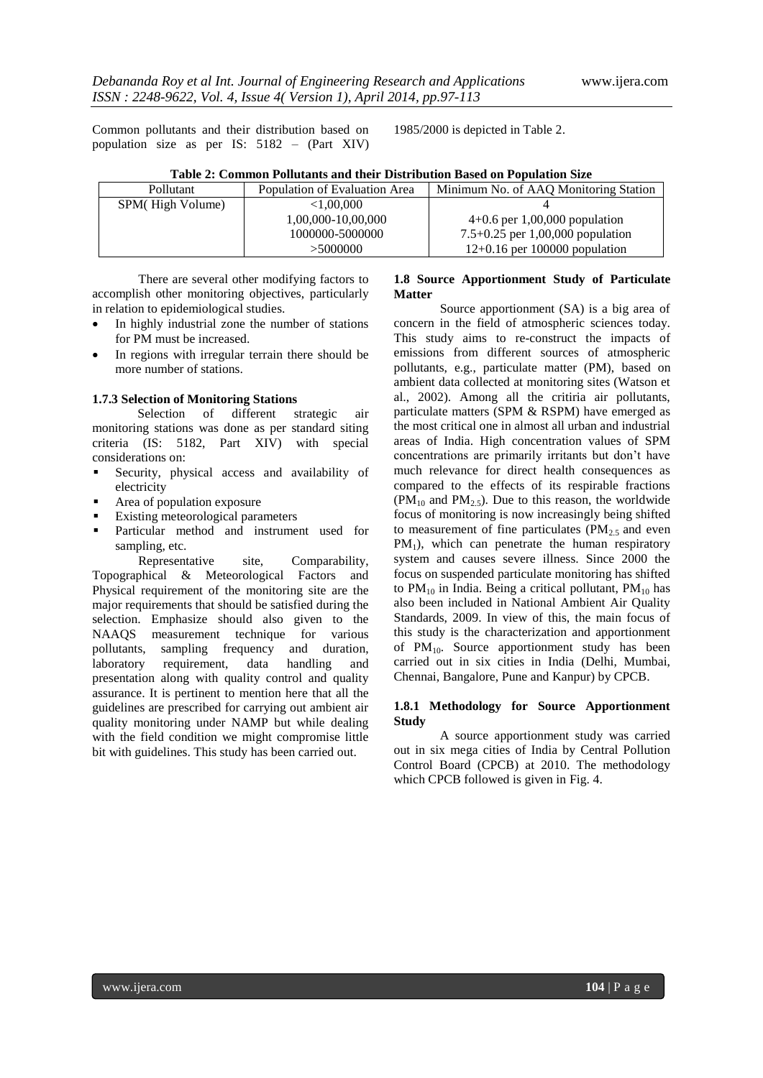Common pollutants and their distribution based on population size as per IS: 5182 – (Part XIV) 1985/2000 is depicted in Table 2.

|  |  |  |  | Table 2: Common Pollutants and their Distribution Based on Population Size |  |
|--|--|--|--|----------------------------------------------------------------------------|--|
|  |  |  |  |                                                                            |  |

| Pollutant        | Population of Evaluation Area | Minimum No. of AAQ Monitoring Station |  |  |
|------------------|-------------------------------|---------------------------------------|--|--|
| SPM(High Volume) | ${<}1.00.000$                 |                                       |  |  |
|                  | 1,00,000-10,00,000            | $4+0.6$ per 1,00,000 population       |  |  |
|                  | 1000000-5000000               | 7.5+0.25 per 1,00,000 population      |  |  |
|                  | >5000000                      | $12+0.16$ per 100000 population       |  |  |

There are several other modifying factors to accomplish other monitoring objectives, particularly in relation to epidemiological studies.

- In highly industrial zone the number of stations for PM must be increased.
- In regions with irregular terrain there should be more number of stations.

### **1.7.3 Selection of Monitoring Stations**

Selection of different strategic air monitoring stations was done as per standard siting criteria (IS: 5182, Part XIV) with special considerations on:

- Security, physical access and availability of electricity
- Area of population exposure
- Existing meteorological parameters
- Particular method and instrument used for sampling, etc.

Representative site. Comparability, Topographical & Meteorological Factors and Physical requirement of the monitoring site are the major requirements that should be satisfied during the selection. Emphasize should also given to the NAAQS measurement technique for various pollutants, sampling frequency and duration, laboratory requirement, data handling and presentation along with quality control and quality assurance. It is pertinent to mention here that all the guidelines are prescribed for carrying out ambient air quality monitoring under NAMP but while dealing with the field condition we might compromise little bit with guidelines. This study has been carried out.

# **1.8 Source Apportionment Study of Particulate Matter**

Source apportionment (SA) is a big area of concern in the field of atmospheric sciences today. This study aims to re-construct the impacts of emissions from different sources of atmospheric pollutants, e.g., particulate matter (PM), based on ambient data collected at monitoring sites (Watson et al., 2002). Among all the critiria air pollutants, particulate matters (SPM & RSPM) have emerged as the most critical one in almost all urban and industrial areas of India. High concentration values of SPM concentrations are primarily irritants but don't have much relevance for direct health consequences as compared to the effects of its respirable fractions  $(PM_{10}$  and  $PM_{2.5}$ ). Due to this reason, the worldwide focus of monitoring is now increasingly being shifted to measurement of fine particulates  $(PM<sub>2.5</sub>$  and even  $PM<sub>1</sub>$ ), which can penetrate the human respiratory system and causes severe illness. Since 2000 the focus on suspended particulate monitoring has shifted to  $PM_{10}$  in India. Being a critical pollutant,  $PM_{10}$  has also been included in National Ambient Air Quality Standards, 2009. In view of this, the main focus of this study is the characterization and apportionment of PM10. Source apportionment study has been carried out in six cities in India (Delhi, Mumbai, Chennai, Bangalore, Pune and Kanpur) by CPCB.

# **1.8.1 Methodology for Source Apportionment Study**

A source apportionment study was carried out in six mega cities of India by Central Pollution Control Board (CPCB) at 2010. The methodology which CPCB followed is given in Fig. 4.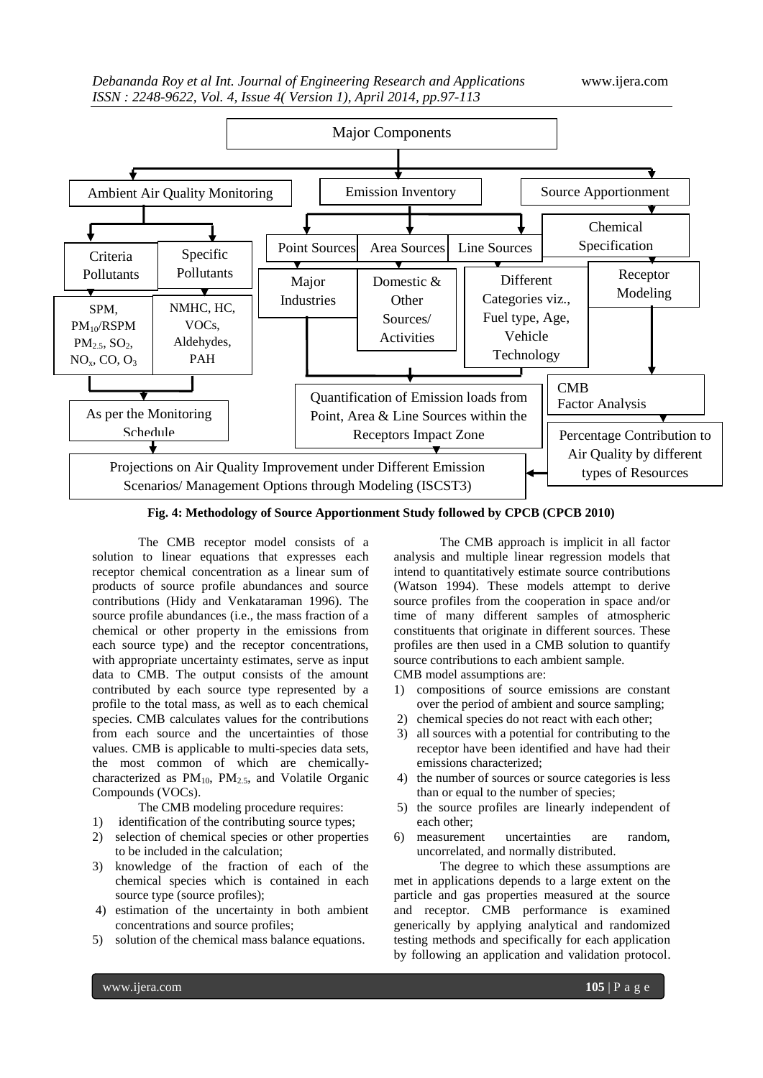

**Fig. 4: Methodology of Source Apportionment Study followed by CPCB (CPCB 2010)**

The CMB receptor model consists of a solution to linear equations that expresses each receptor chemical concentration as a linear sum of products of source profile abundances and source contributions (Hidy and Venkataraman 1996). The source profile abundances (i.e., the mass fraction of a chemical or other property in the emissions from each source type) and the receptor concentrations, with appropriate uncertainty estimates, serve as input data to CMB. The output consists of the amount contributed by each source type represented by a profile to the total mass, as well as to each chemical species. CMB calculates values for the contributions from each source and the uncertainties of those values. CMB is applicable to multi-species data sets, the most common of which are chemicallycharacterized as  $PM_{10}$ ,  $PM_{2.5}$ , and Volatile Organic Compounds (VOCs).

The CMB modeling procedure requires:

1) identification of the contributing source types;

- 2) selection of chemical species or other properties to be included in the calculation;
- 3) knowledge of the fraction of each of the chemical species which is contained in each source type (source profiles);
- 4) estimation of the uncertainty in both ambient concentrations and source profiles;
- 5) solution of the chemical mass balance equations.

The CMB approach is implicit in all factor analysis and multiple linear regression models that intend to quantitatively estimate source contributions (Watson 1994). These models attempt to derive source profiles from the cooperation in space and/or time of many different samples of atmospheric constituents that originate in different sources. These profiles are then used in a CMB solution to quantify source contributions to each ambient sample.

CMB model assumptions are:

- 1) compositions of source emissions are constant over the period of ambient and source sampling;
- 2) chemical species do not react with each other;
- 3) all sources with a potential for contributing to the receptor have been identified and have had their emissions characterized;
- 4) the number of sources or source categories is less than or equal to the number of species;
- 5) the source profiles are linearly independent of each other;
- 6) measurement uncertainties are random, uncorrelated, and normally distributed.

The degree to which these assumptions are met in applications depends to a large extent on the particle and gas properties measured at the source and receptor. CMB performance is examined generically by applying analytical and randomized testing methods and specifically for each application by following an application and validation protocol.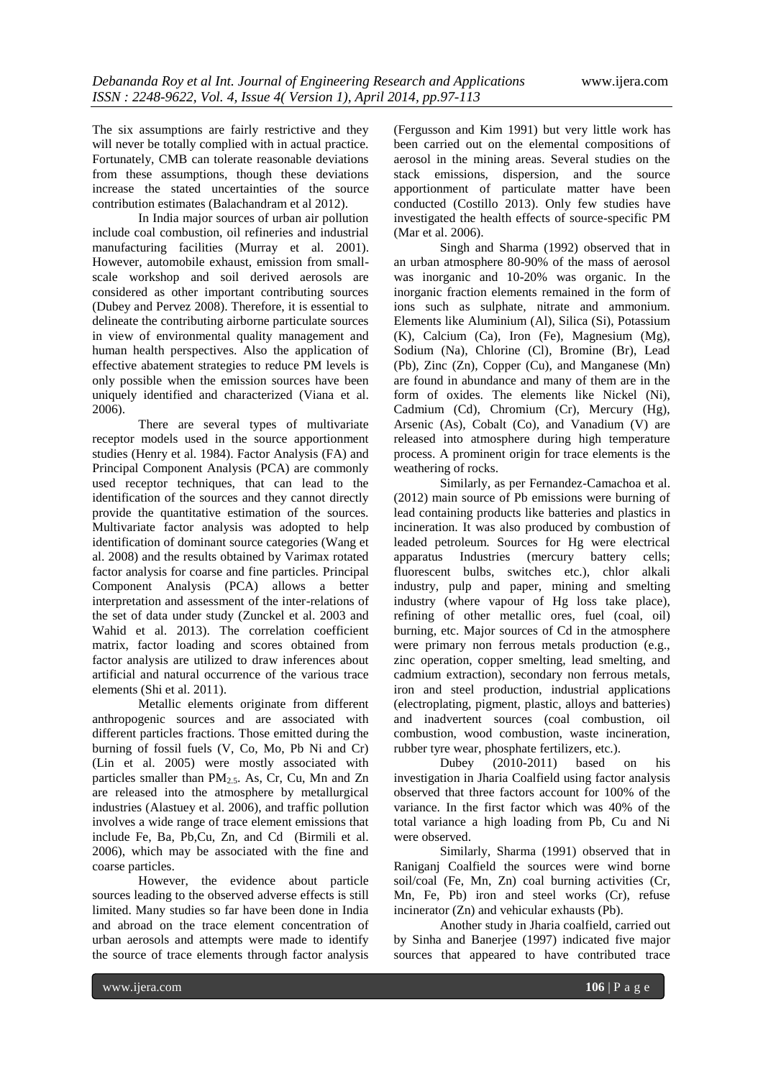The six assumptions are fairly restrictive and they will never be totally complied with in actual practice. Fortunately, CMB can tolerate reasonable deviations from these assumptions, though these deviations increase the stated uncertainties of the source contribution estimates (Balachandram et al 2012).

In India major sources of urban air pollution include coal combustion, oil refineries and industrial manufacturing facilities (Murray et al. 2001). However, automobile exhaust, emission from smallscale workshop and soil derived aerosols are considered as other important contributing sources (Dubey and Pervez 2008). Therefore, it is essential to delineate the contributing airborne particulate sources in view of environmental quality management and human health perspectives. Also the application of effective abatement strategies to reduce PM levels is only possible when the emission sources have been uniquely identified and characterized (Viana et al. 2006).

There are several types of multivariate receptor models used in the source apportionment studies (Henry et al. 1984). Factor Analysis (FA) and Principal Component Analysis (PCA) are commonly used receptor techniques, that can lead to the identification of the sources and they cannot directly provide the quantitative estimation of the sources. Multivariate factor analysis was adopted to help identification of dominant source categories (Wang et al. 2008) and the results obtained by Varimax rotated factor analysis for coarse and fine particles. Principal Component Analysis (PCA) allows a better interpretation and assessment of the inter-relations of the set of data under study (Zunckel et al. 2003 and Wahid et al. 2013). The correlation coefficient matrix, factor loading and scores obtained from factor analysis are utilized to draw inferences about artificial and natural occurrence of the various trace elements (Shi et al. 2011).

Metallic elements originate from different anthropogenic sources and are associated with different particles fractions. Those emitted during the burning of fossil fuels (V, Co, Mo, Pb Ni and Cr) (Lin et al. 2005) were mostly associated with particles smaller than  $PM<sub>2.5</sub>$ . As, Cr, Cu, Mn and Zn are released into the atmosphere by metallurgical industries (Alastuey et al. 2006), and traffic pollution involves a wide range of trace element emissions that include Fe, Ba, Pb,Cu, Zn, and Cd (Birmili et al. 2006), which may be associated with the fine and coarse particles.

However, the evidence about particle sources leading to the observed adverse effects is still limited. Many studies so far have been done in India and abroad on the trace element concentration of urban aerosols and attempts were made to identify the source of trace elements through factor analysis

(Fergusson and Kim 1991) but very little work has been carried out on the elemental compositions of aerosol in the mining areas. Several studies on the stack emissions, dispersion, and the source apportionment of particulate matter have been conducted (Costillo 2013). Only few studies have investigated the health effects of source-specific PM (Mar et al. 2006).

Singh and Sharma (1992) observed that in an urban atmosphere 80-90% of the mass of aerosol was inorganic and 10-20% was organic. In the inorganic fraction elements remained in the form of ions such as sulphate, nitrate and ammonium. Elements like Aluminium (Al), Silica (Si), Potassium (K), Calcium (Ca), Iron (Fe), Magnesium (Mg), Sodium (Na), Chlorine (Cl), Bromine (Br), Lead (Pb), Zinc (Zn), Copper (Cu), and Manganese (Mn) are found in abundance and many of them are in the form of oxides. The elements like Nickel (Ni), Cadmium (Cd), Chromium (Cr), Mercury (Hg), Arsenic (As), Cobalt (Co), and Vanadium (V) are released into atmosphere during high temperature process. A prominent origin for trace elements is the weathering of rocks.

Similarly, as per Fernandez-Camachoa et al. (2012) main source of Pb emissions were burning of lead containing products like batteries and plastics in incineration. It was also produced by combustion of leaded petroleum. Sources for Hg were electrical apparatus Industries (mercury battery cells; fluorescent bulbs, switches etc.), chlor alkali industry, pulp and paper, mining and smelting industry (where vapour of Hg loss take place), refining of other metallic ores, fuel (coal, oil) burning, etc. Major sources of Cd in the atmosphere were primary non ferrous metals production (e.g., zinc operation, copper smelting, lead smelting, and cadmium extraction), secondary non ferrous metals, iron and steel production, industrial applications (electroplating, pigment, plastic, alloys and batteries) and inadvertent sources (coal combustion, oil combustion, wood combustion, waste incineration, rubber tyre wear, phosphate fertilizers, etc.).

Dubey (2010-2011) based on his investigation in Jharia Coalfield using factor analysis observed that three factors account for 100% of the variance. In the first factor which was 40% of the total variance a high loading from Pb, Cu and Ni were observed.

Similarly, Sharma (1991) observed that in Raniganj Coalfield the sources were wind borne soil/coal (Fe, Mn, Zn) coal burning activities (Cr, Mn, Fe, Pb) iron and steel works (Cr), refuse incinerator (Zn) and vehicular exhausts (Pb).

Another study in Jharia coalfield, carried out by Sinha and Banerjee (1997) indicated five major sources that appeared to have contributed trace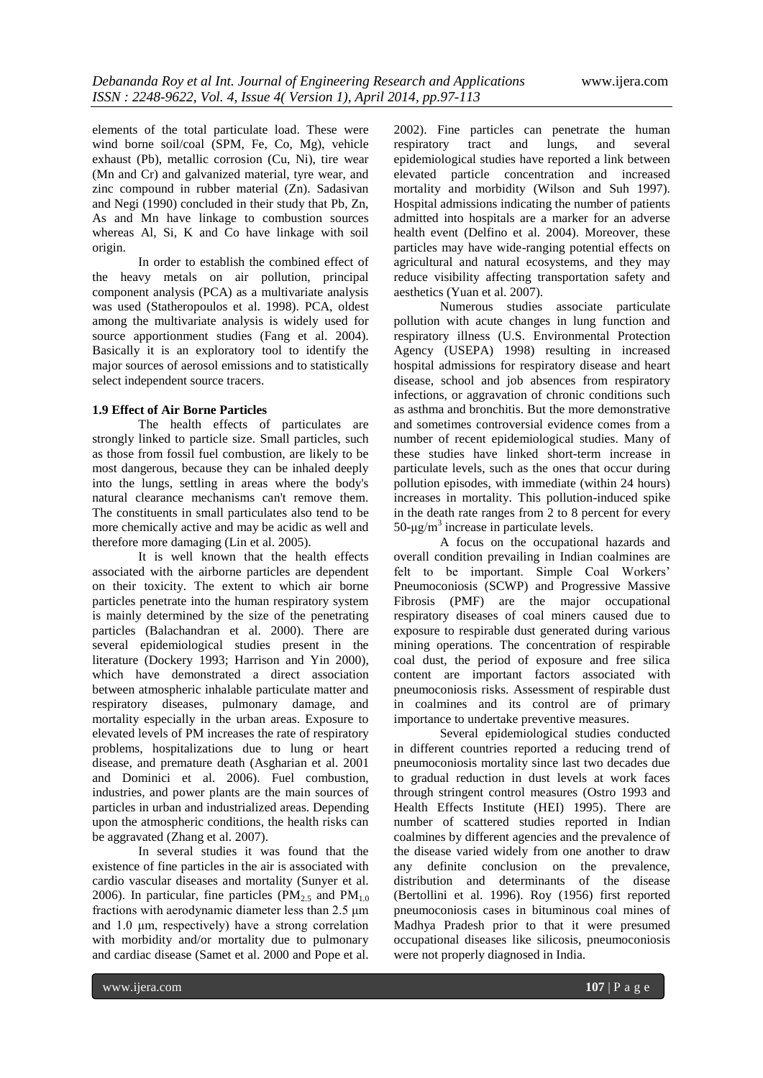elements of the total particulate load. These were wind borne soil/coal (SPM, Fe, Co, Mg), vehicle exhaust (Pb), metallic corrosion (Cu, Ni), tire wear (Mn and Cr) and galvanized material, tyre wear, and zinc compound in rubber material (Zn). Sadasivan and Negi (1990) concluded in their study that Pb, Zn, As and Mn have linkage to combustion sources whereas Al, Si, K and Co have linkage with soil origin.

In order to establish the combined effect of the heavy metals on air pollution, principal component analysis (PCA) as a multivariate analysis was used (Statheropoulos et al. 1998). PCA, oldest among the multivariate analysis is widely used for source apportionment studies (Fang et al. 2004). Basically it is an exploratory tool to identify the major sources of aerosol emissions and to statistically select independent source tracers.

## **1.9 Effect of Air Borne Particles**

The health effects of particulates are strongly linked to particle size. Small particles, such as those from fossil fuel combustion, are likely to be most dangerous, because they can be inhaled deeply into the lungs, settling in areas where the body's natural clearance mechanisms can't remove them. The constituents in small particulates also tend to be more chemically active and may be acidic as well and therefore more damaging (Lin et al. 2005).

It is well known that the health effects associated with the airborne particles are dependent on their toxicity. The extent to which air borne particles penetrate into the human respiratory system is mainly determined by the size of the penetrating particles (Balachandran et al. 2000). There are several epidemiological studies present in the literature (Dockery 1993; Harrison and Yin 2000), which have demonstrated a direct association between atmospheric inhalable particulate matter and respiratory diseases, pulmonary damage, and mortality especially in the urban areas. Exposure to elevated levels of PM increases the rate of respiratory problems, hospitalizations due to lung or heart disease, and premature death (Asgharian et al. 2001 and Dominici et al. 2006). Fuel combustion, industries, and power plants are the main sources of particles in urban and industrialized areas. Depending upon the atmospheric conditions, the health risks can be aggravated (Zhang et al. 2007).

In several studies it was found that the existence of fine particles in the air is associated with cardio vascular diseases and mortality (Sunyer et al. 2006). In particular, fine particles (PM<sub>2.5</sub> and PM<sub>1.0</sub> fractions with aerodynamic diameter less than 2.5 μm and 1.0 μm, respectively) have a strong correlation with morbidity and/or mortality due to pulmonary and cardiac disease (Samet et al. 2000 and Pope et al.

2002). Fine particles can penetrate the human respiratory tract and lungs, and several epidemiological studies have reported a link between elevated particle concentration and increased mortality and morbidity (Wilson and Suh 1997). Hospital admissions indicating the number of patients admitted into hospitals are a marker for an adverse health event (Delfino et al. 2004). Moreover, these particles may have wide-ranging potential effects on agricultural and natural ecosystems, and they may reduce visibility affecting transportation safety and aesthetics (Yuan et al. 2007).

Numerous studies associate particulate pollution with acute changes in lung function and respiratory illness (U.S. Environmental Protection Agency (USEPA) 1998) resulting in increased hospital admissions for respiratory disease and heart disease, school and job absences from respiratory infections, or aggravation of chronic conditions such as asthma and bronchitis. But the more demonstrative and sometimes controversial evidence comes from a number of recent epidemiological studies. Many of these studies have linked short-term increase in particulate levels, such as the ones that occur during pollution episodes, with immediate (within 24 hours) increases in mortality. This pollution-induced spike in the death rate ranges from 2 to 8 percent for every 50-μg/m<sup>3</sup> increase in particulate levels.

A focus on the occupational hazards and overall condition prevailing in Indian coalmines are felt to be important. Simple Coal Workers' Pneumoconiosis (SCWP) and Progressive Massive Fibrosis (PMF) are the major occupational respiratory diseases of coal miners caused due to exposure to respirable dust generated during various mining operations. The concentration of respirable coal dust, the period of exposure and free silica content are important factors associated with pneumoconiosis risks. Assessment of respirable dust in coalmines and its control are of primary importance to undertake preventive measures.

Several epidemiological studies conducted in different countries reported a reducing trend of pneumoconiosis mortality since last two decades due to gradual reduction in dust levels at work faces through stringent control measures (Ostro 1993 and Health Effects Institute (HEI) 1995). There are number of scattered studies reported in Indian coalmines by different agencies and the prevalence of the disease varied widely from one another to draw any definite conclusion on the prevalence, distribution and determinants of the disease (Bertollini et al. 1996). Roy (1956) first reported pneumoconiosis cases in bituminous coal mines of Madhya Pradesh prior to that it were presumed occupational diseases like silicosis, pneumoconiosis were not properly diagnosed in India.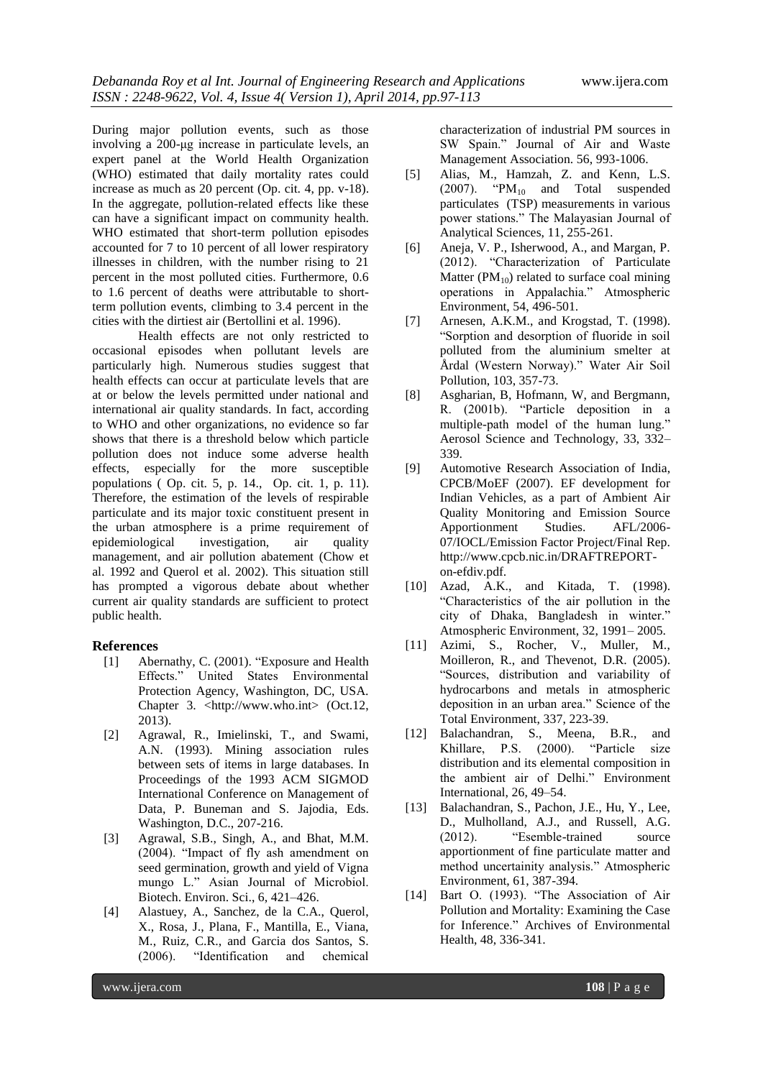During major pollution events, such as those involving a 200-μg increase in particulate levels, an expert panel at the World Health Organization (WHO) estimated that daily mortality rates could increase as much as 20 percent (Op. cit. 4, pp. v-18). In the aggregate, pollution-related effects like these can have a significant impact on community health. WHO estimated that short-term pollution episodes accounted for 7 to 10 percent of all lower respiratory illnesses in children, with the number rising to 21 percent in the most polluted cities. Furthermore, 0.6 to 1.6 percent of deaths were attributable to shortterm pollution events, climbing to 3.4 percent in the cities with the dirtiest air (Bertollini et al. 1996).

Health effects are not only restricted to occasional episodes when pollutant levels are particularly high. Numerous studies suggest that health effects can occur at particulate levels that are at or below the levels permitted under national and international air quality standards. In fact, according to WHO and other organizations, no evidence so far shows that there is a threshold below which particle pollution does not induce some adverse health effects, especially for the more susceptible populations ( Op. cit. 5, p. 14., Op. cit. 1, p. 11). Therefore, the estimation of the levels of respirable particulate and its major toxic constituent present in the urban atmosphere is a prime requirement of epidemiological investigation, air quality management, and air pollution abatement (Chow et al. 1992 and Querol et al. 2002). This situation still has prompted a vigorous debate about whether current air quality standards are sufficient to protect public health.

#### **References**

- [1] Abernathy, C. (2001). "Exposure and Health Effects." United States Environmental Protection Agency, Washington, DC, USA. Chapter 3. <http://www.who.int> (Oct.12, 2013).
- [2] Agrawal, R., Imielinski, T., and Swami, A.N. (1993). Mining association rules between sets of items in large databases. In Proceedings of the 1993 ACM SIGMOD International Conference on Management of Data, P. Buneman and S. Jajodia, Eds. Washington, D.C., 207-216.
- [3] Agrawal, S.B., Singh, A., and Bhat, M.M. (2004). "Impact of fly ash amendment on seed germination, growth and yield of Vigna mungo L." Asian Journal of Microbiol. Biotech. Environ. Sci., 6, 421–426.
- [4] Alastuey, A., Sanchez, de la C.A., Querol, X., Rosa, J., Plana, F., Mantilla, E., Viana, M., Ruiz, C.R., and Garcia dos Santos, S. (2006). "Identification and chemical

characterization of industrial PM sources in SW Spain." Journal of Air and Waste Management Association. 56, 993-1006.

- [5] Alias, M., Hamzah, Z. and Kenn, L.S.  $(2007)$ . "PM<sub>10</sub> and Total suspended particulates (TSP) measurements in various power stations." The Malayasian Journal of Analytical Sciences, 11, 255-261.
- [6] Aneja, V. P., Isherwood, A., and Margan, P. (2012). "Characterization of Particulate Matter ( $PM_{10}$ ) related to surface coal mining operations in Appalachia." Atmospheric Environment, 54, 496-501.
- [7] Arnesen, A.K.M., and Krogstad, T. (1998). "Sorption and desorption of fluoride in soil polluted from the aluminium smelter at Årdal (Western Norway)." Water Air Soil Pollution, 103, 357-73.
- [8] Asgharian, B, Hofmann, W, and Bergmann, R. (2001b). "Particle deposition in a multiple-path model of the human lung." Aerosol Science and Technology, 33, 332– 339.
- [9] Automotive Research Association of India, CPCB/MoEF (2007). EF development for Indian Vehicles, as a part of Ambient Air Quality Monitoring and Emission Source Apportionment Studies. AFL/2006- 07/IOCL/Emission Factor Project/Final Rep. http://www.cpcb.nic.in/DRAFTREPORTon-efdiv.pdf.
- [10] Azad, A.K., and Kitada, T. (1998). "Characteristics of the air pollution in the city of Dhaka, Bangladesh in winter." Atmospheric Environment, 32, 1991– 2005.
- [11] Azimi, S., Rocher, V., Muller, M., Moilleron, R., and Thevenot, D.R. (2005). "Sources, distribution and variability of hydrocarbons and metals in atmospheric deposition in an urban area." Science of the Total Environment, 337, 223-39.
- [12] Balachandran, S., Meena, B.R., and Khillare, P.S. (2000). "Particle size distribution and its elemental composition in the ambient air of Delhi." Environment International, 26, 49–54.
- [13] Balachandran, S., Pachon, J.E., Hu, Y., Lee, D., Mulholland, A.J., and Russell, A.G. (2012). "Esemble-trained source apportionment of fine particulate matter and method uncertainity analysis." Atmospheric Environment, 61, 387-394.
- [14] Bart O. (1993). "The Association of Air Pollution and Mortality: Examining the Case for Inference." Archives of Environmental Health, 48, 336-341.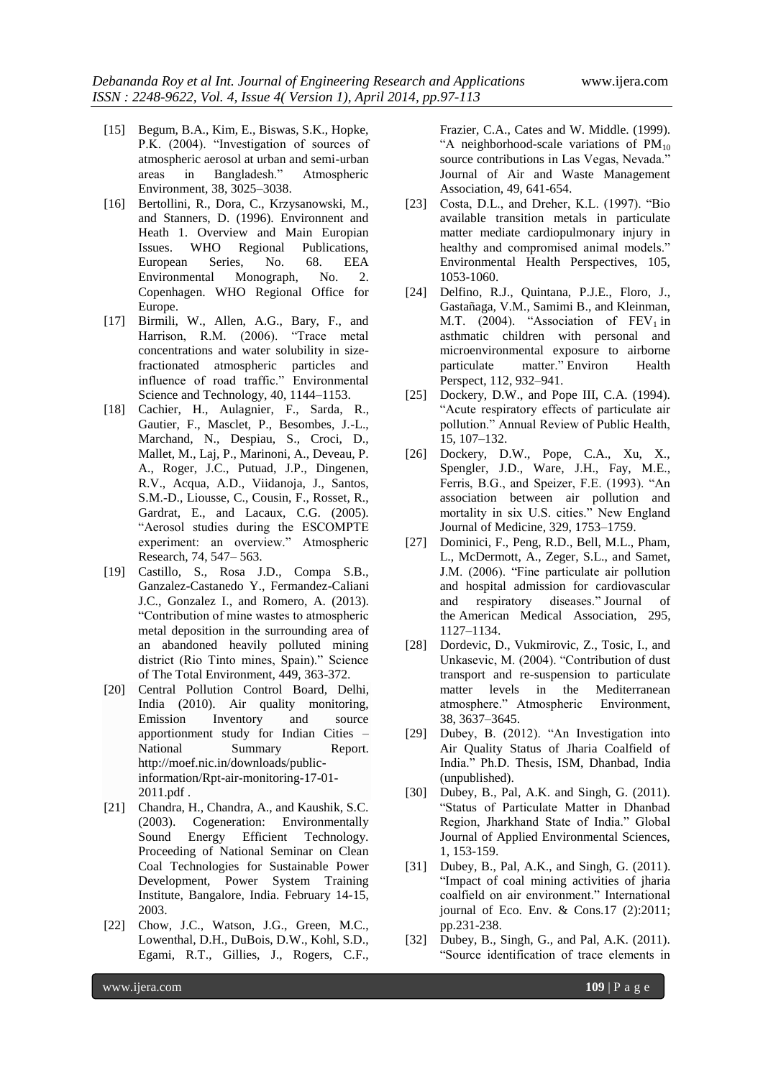- [15] Begum, B.A., Kim, E., Biswas, S.K., Hopke, P.K. (2004). "Investigation of sources of atmospheric aerosol at urban and semi-urban areas in Bangladesh." Atmospheric Environment, 38, 3025–3038.
- [16] Bertollini, R., Dora, C., Krzysanowski, M., and Stanners, D. (1996). Environnent and Heath 1. Overview and Main Europian Issues. WHO Regional Publications, European Series, No. 68. EEA Environmental Monograph, No. 2. Copenhagen. WHO Regional Office for Europe.
- [17] Birmili, W., Allen, A.G., Bary, F., and Harrison, R.M. (2006). "Trace metal concentrations and water solubility in sizefractionated atmospheric particles and influence of road traffic." Environmental Science and Technology, 40, 1144–1153.
- [18] Cachier, H., Aulagnier, F., Sarda, R., Gautier, F., Masclet, P., Besombes, J.-L., Marchand, N., Despiau, S., Croci, D., Mallet, M., Laj, P., Marinoni, A., Deveau, P. A., Roger, J.C., Putuad, J.P., Dingenen, R.V., Acqua, A.D., Viidanoja, J., Santos, S.M.-D., Liousse, C., Cousin, F., Rosset, R., Gardrat, E., and Lacaux, C.G. (2005). "Aerosol studies during the ESCOMPTE experiment: an overview." Atmospheric Research, 74, 547– 563.
- [19] Castillo, S., Rosa J.D., Compa S.B., Ganzalez-Castanedo Y., Fermandez-Caliani J.C., Gonzalez I., and Romero, A. (2013). "Contribution of mine wastes to atmospheric metal deposition in the surrounding area of an abandoned heavily polluted mining district (Rio Tinto mines, Spain)." Science of The Total Environment, 449, 363-372.
- [20] Central Pollution Control Board, Delhi, India (2010). Air quality monitoring, Emission Inventory and source apportionment study for Indian Cities – National Summary Report. http://moef.nic.in/downloads/publicinformation/Rpt-air-monitoring-17-01- 2011.pdf .
- [21] Chandra, H., Chandra, A., and Kaushik, S.C. (2003). Cogeneration: Environmentally Sound Energy Efficient Technology. Proceeding of National Seminar on Clean Coal Technologies for Sustainable Power Development, Power System Training Institute, Bangalore, India. February 14-15, 2003.
- [22] Chow, J.C., Watson, J.G., Green, M.C., Lowenthal, D.H., DuBois, D.W., Kohl, S.D., Egami, R.T., Gillies, J., Rogers, C.F.,

Frazier, C.A., Cates and W. Middle. (1999). "A neighborhood-scale variations of  $PM_{10}$ source contributions in Las Vegas, Nevada.' Journal of Air and Waste Management Association, 49, 641-654.

- [23] Costa, D.L., and Dreher, K.L. (1997). "Bio available transition metals in particulate matter mediate cardiopulmonary injury in healthy and compromised animal models." Environmental Health Perspectives, 105, 1053-1060.
- [24] Delfino, R.J., Quintana, P.J.E., Floro, J., Gastañaga, V.M., Samimi B., and Kleinman, M.T. (2004). "Association of  $FEV<sub>1</sub>$  in asthmatic children with personal and microenvironmental exposure to airborne particulate matter." Environ Health Perspect, 112, 932–941.
- [25] Dockery, D.W., and Pope III, C.A. (1994). "Acute respiratory effects of particulate air pollution." Annual Review of Public Health, 15, 107–132.
- [26] Dockery, D.W., Pope, C.A., Xu, X., Spengler, J.D., Ware, J.H., Fay, M.E., Ferris, B.G., and Speizer, F.E. (1993). "An association between air pollution and mortality in six U.S. cities." New England Journal of Medicine, 329, 1753–1759.
- [27] Dominici, F., Peng, R.D., Bell, M.L., Pham, L., McDermott, A., Zeger, S.L., and Samet, J.M. (2006). "Fine particulate air pollution and hospital admission for cardiovascular and respiratory diseases." Journal of the American Medical Association, 295, 1127–1134.
- [28] Dordevic, D., Vukmirovic, Z., Tosic, I., and Unkasevic, M. (2004). "Contribution of dust transport and re-suspension to particulate matter levels in the Mediterranean atmosphere." Atmospheric Environment, 38, 3637–3645.
- [29] Dubey, B. (2012). "An Investigation into Air Quality Status of Jharia Coalfield of India." Ph.D. Thesis, ISM, Dhanbad, India (unpublished).
- [30] Dubey, B., Pal, A.K. and Singh, G. (2011). "Status of Particulate Matter in Dhanbad Region, Jharkhand State of India." Global Journal of Applied Environmental Sciences, 1, 153-159.
- [31] Dubey, B., Pal, A.K., and Singh, G. (2011). "Impact of coal mining activities of jharia coalfield on air environment." International journal of Eco. Env. & Cons.17 (2):2011; pp.231-238.
- [32] Dubey, B., Singh, G., and Pal, A.K. (2011). "Source identification of trace elements in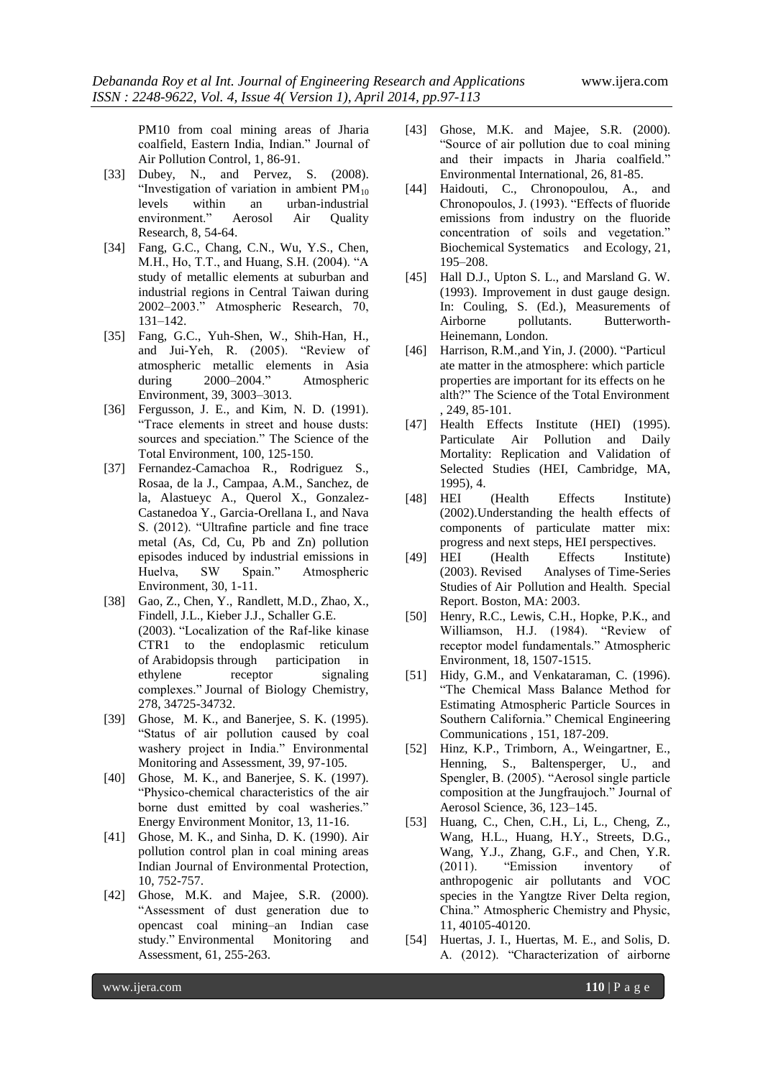PM10 from coal mining areas of Jharia coalfield, Eastern India, Indian." Journal of

[33] Dubey, N., and Pervez, S. (2008). "Investigation of variation in ambient  $PM_{10}$ levels within an urban-industrial environment." Aerosol Air Quality Research, 8, 54-64.

Air Pollution Control, 1, 86-91.

- [34] Fang, G.C., Chang, C.N., Wu, Y.S., Chen, M.H., Ho, T.T., and Huang, S.H. (2004). "A study of metallic elements at suburban and industrial regions in Central Taiwan during 2002–2003." Atmospheric Research, 70, 131–142.
- [35] Fang, G.C., Yuh-Shen, W., Shih-Han, H., and Jui-Yeh, R. (2005). "Review of atmospheric metallic elements in Asia during 2000–2004." Atmospheric Environment, 39, 3003–3013.
- [36] Fergusson, J. E., and Kim, N. D. (1991). "Trace elements in street and house dusts: sources and speciation." The Science of the Total Environment, 100, 125-150.
- [37] Fernandez-Camachoa R., Rodriguez S., Rosaa, de la J., Campaa, A.M., Sanchez, de la, Alastueyc A., Querol X., Gonzalez-Castanedoa Y., Garcia-Orellana I., and Nava S. (2012). "Ultrafine particle and fine trace metal (As, Cd, Cu, Pb and Zn) pollution episodes induced by industrial emissions in Huelva, SW Spain." Atmospheric Environment, 30, 1-11.
- [38] Gao, Z., Chen, Y., Randlett, M.D., Zhao, X., Findell, J.L., Kieber J.J., Schaller G.E. (2003). "Localization of the Raf-like kinase CTR1 to the endoplasmic reticulum of Arabidopsis through participation in ethylene receptor signaling complexes." Journal of Biology Chemistry, 278, 34725-34732.
- [39] Ghose, M. K., and Banerjee, S. K. (1995). "Status of air pollution caused by coal washery project in India." Environmental Monitoring and Assessment, 39, 97-105.
- [40] Ghose, M. K., and Banerjee, S. K. (1997). "Physico-chemical characteristics of the air borne dust emitted by coal washeries." Energy Environment Monitor, 13, 11-16.
- [41] Ghose, M. K., and Sinha, D. K. (1990). Air pollution control plan in coal mining areas Indian Journal of Environmental Protection, 10, 752-757.
- [42] Ghose, M.K. and Majee, S.R. (2000). "Assessment of dust generation due to opencast coal mining–an Indian case study." Environmental Monitoring and Assessment, 61, 255-263.
- [43] Ghose, M.K. and Majee, S.R. (2000). "Source of air pollution due to coal mining and their impacts in Jharia coalfield." Environmental International, 26, 81-85.
- [44] Haidouti, C., Chronopoulou, A., and Chronopoulos, J. (1993). "Effects of fluoride emissions from industry on the fluoride concentration of soils and vegetation." Biochemical Systematics and Ecology, 21, 195–208.
- [45] Hall D.J., Upton S. L., and Marsland G. W. (1993). Improvement in dust gauge design. In: Couling, S. (Ed.), Measurements of Airborne pollutants. Butterworth-Heinemann, London.
- [46] Harrison, R.M.,and Yin, J. (2000). "Particul ate matter in the atmosphere: which particle properties are important for its effects on he alth?" The Science of the Total Environment , 249, 85‐101.
- [47] Health Effects Institute (HEI) (1995). Particulate Air Pollution and Daily Mortality: Replication and Validation of Selected Studies (HEI, Cambridge, MA, 1995), 4.
- [48] HEI (Health Effects Institute) (2002).Understanding the health effects of components of particulate matter mix: progress and next steps, HEI perspectives.
- [49] HEI (Health Effects Institute) (2003). Revised Analyses of Time-Series Studies of Air Pollution and Health. Special Report. Boston, MA: 2003.
- [50] Henry, R.C., Lewis, C.H., Hopke, P.K., and Williamson, H.J. (1984). "Review of receptor model fundamentals." Atmospheric Environment, 18, 1507-1515.
- [51] Hidy, G.M., and Venkataraman, C. (1996). "The Chemical Mass Balance Method for Estimating Atmospheric Particle Sources in Southern California." Chemical Engineering Communications , 151, 187-209.
- [52] Hinz, K.P., Trimborn, A., Weingartner, E., Henning, S., Baltensperger, U., and Spengler, B. (2005). "Aerosol single particle composition at the Jungfraujoch." Journal of Aerosol Science, 36, 123–145.
- [53] Huang, C., Chen, C.H., Li, L., Cheng, Z., Wang, H.L., Huang, H.Y., Streets, D.G., Wang, Y.J., Zhang, G.F., and Chen, Y.R. (2011). "Emission inventory of anthropogenic air pollutants and VOC species in the Yangtze River Delta region, China." Atmospheric Chemistry and Physic, 11, 40105-40120.
- [54] Huertas, J. I., Huertas, M. E., and Solis, D. A. (2012). "Characterization of airborne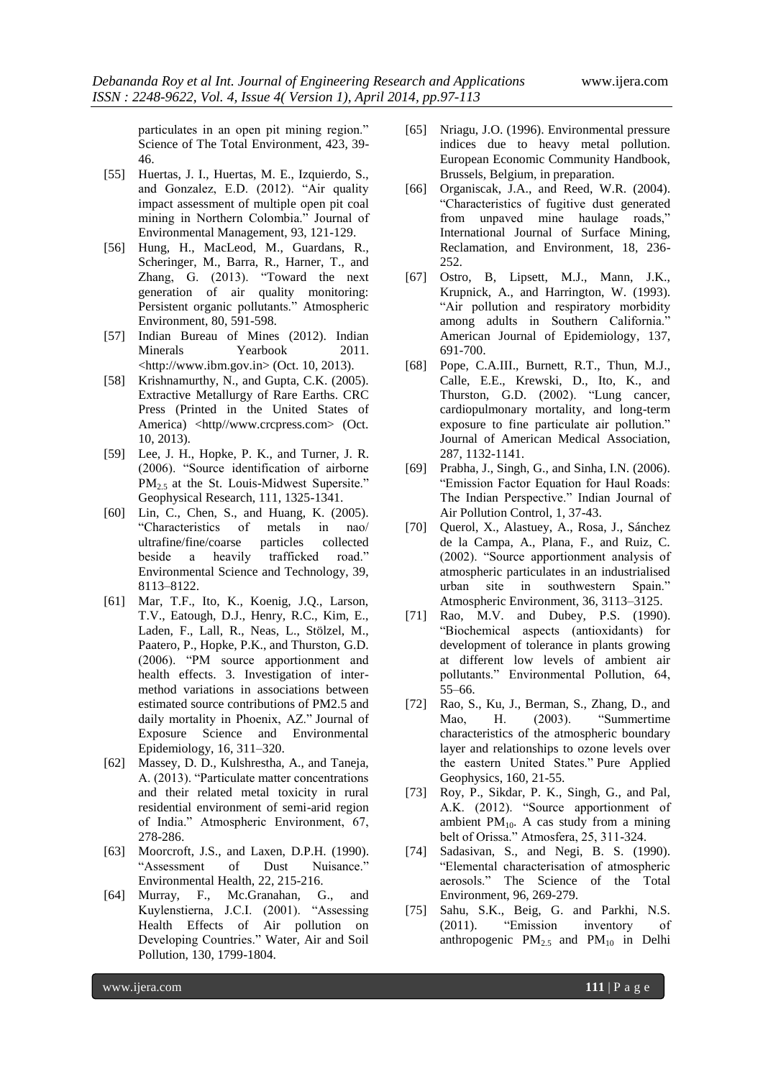particulates in an open pit mining region." Science of The Total Environment, 423, 39- 46.

- [55] Huertas, J. I., Huertas, M. E., Izquierdo, S., and Gonzalez, E.D. (2012). "Air quality impact assessment of multiple open pit coal mining in Northern Colombia." Journal of Environmental Management, 93, 121-129.
- [56] Hung, H., MacLeod, M., Guardans, R., Scheringer, M., Barra, R., Harner, T., and Zhang, G. (2013). "Toward the next generation of air quality monitoring: Persistent organic pollutants." Atmospheric Environment, 80, 591-598.
- [57] Indian Bureau of Mines (2012). Indian Minerals Yearbook 2011. <http://www.ibm.gov.in> (Oct. 10, 2013).
- [58] Krishnamurthy, N., and Gupta, C.K. (2005). Extractive Metallurgy of Rare Earths. CRC Press (Printed in the United States of America) <http//www.crcpress.com> (Oct. 10, 2013).
- [59] Lee, J. H., Hopke, P. K., and Turner, J. R. (2006). "Source identification of airborne PM<sub>2.5</sub> at the St. Louis-Midwest Supersite." Geophysical Research, 111, 1325-1341.
- [60] Lin, C., Chen, S., and Huang, K. (2005). "Characteristics of metals in nao/ ultrafine/fine/coarse particles collected beside a heavily trafficked road." Environmental Science and Technology, 39, 8113–8122.
- [61] Mar, T.F., Ito, K., Koenig, J.Q., Larson, T.V., Eatough, D.J., Henry, R.C., Kim, E., Laden, F., Lall, R., Neas, L., Stölzel, M., Paatero, P., Hopke, P.K., and Thurston, G.D. (2006). "PM source apportionment and health effects. 3. Investigation of intermethod variations in associations between estimated source contributions of PM2.5 and daily mortality in Phoenix, AZ." Journal of Exposure Science and Environmental Epidemiology, 16, 311–320.
- [62] Massey, D. D., Kulshrestha, A., and Taneja, A. (2013). "Particulate matter concentrations and their related metal toxicity in rural residential environment of semi-arid region of India." Atmospheric Environment, 67, 278-286.
- [63] Moorcroft, J.S., and Laxen, D.P.H. (1990). "Assessment of Dust Nuisance." Environmental Health, 22, 215-216.
- [64] Murray, F., Mc.Granahan, G., and Kuylenstierna, J.C.I. (2001). "Assessing Health Effects of Air pollution on Developing Countries." Water, Air and Soil Pollution, 130, 1799-1804.
- [65] Nriagu, J.O. (1996). Environmental pressure indices due to heavy metal pollution. European Economic Community Handbook, Brussels, Belgium, in preparation.
- [66] Organiscak, J.A., and Reed, W.R. (2004). "Characteristics of fugitive dust generated from unpaved mine haulage roads," International Journal of Surface Mining, Reclamation, and Environment, 18, 236- 252.
- [67] Ostro, B, Lipsett, M.J., Mann, J.K., Krupnick, A., and Harrington, W. (1993). "Air pollution and respiratory morbidity among adults in Southern California." American Journal of Epidemiology, 137, 691-700.
- [68] Pope, C.A.III., Burnett, R.T., Thun, M.J., Calle, E.E., Krewski, D., Ito, K., and Thurston, G.D. (2002). "Lung cancer, cardiopulmonary mortality, and long-term exposure to fine particulate air pollution." Journal of American Medical Association, 287, 1132-1141.
- [69] Prabha, J., Singh, G., and Sinha, I.N. (2006). "Emission Factor Equation for Haul Roads: The Indian Perspective." Indian Journal of Air Pollution Control, 1, 37-43.
- [70] Querol, X., Alastuey, A., Rosa, J., Sánchez de la Campa, A., Plana, F., and Ruiz, C. (2002). "Source apportionment analysis of atmospheric particulates in an industrialised urban site in southwestern Spain." Atmospheric Environment, 36, 3113–3125.
- [71] Rao, M.V. and Dubey, P.S. (1990). "Biochemical aspects (antioxidants) for development of tolerance in plants growing at different low levels of ambient air pollutants." Environmental Pollution, 64, 55–66.
- [72] Rao, S., Ku, J., Berman, S., Zhang, D., and Mao, H. (2003). "Summertime characteristics of the atmospheric boundary layer and relationships to ozone levels over the eastern United States." Pure Applied Geophysics, 160, 21-55.
- [73] Roy, P., Sikdar, P. K., Singh, G., and Pal, A.K. (2012). "Source apportionment of ambient  $PM_{10}$ . A cas study from a mining belt of Orissa." Atmosfera, 25, 311-324.
- [74] Sadasivan, S., and Negi, B. S. (1990). "Elemental characterisation of atmospheric aerosols." The Science of the Total Environment, 96, 269-279.
- [75] Sahu, S.K., Beig, G. and Parkhi, N.S. (2011). "Emission inventory of anthropogenic  $PM_{2.5}$  and  $PM_{10}$  in Delhi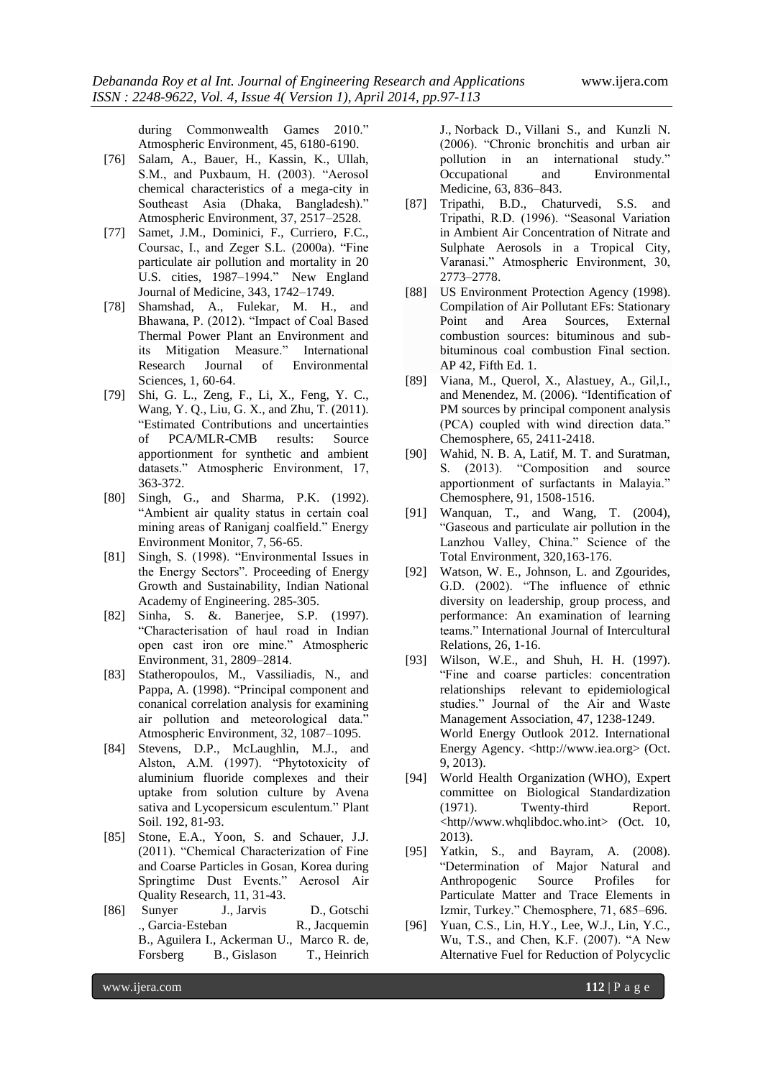during Commonwealth Games 2010." Atmospheric Environment, 45, 6180-6190.

- [76] Salam, A., Bauer, H., Kassin, K., Ullah, S.M., and Puxbaum, H. (2003). "Aerosol chemical characteristics of a mega-city in Southeast Asia (Dhaka, Bangladesh)." Atmospheric Environment, 37, 2517–2528.
- [77] Samet, J.M., Dominici, F., Curriero, F.C., Coursac, I., and Zeger S.L. (2000a). "Fine particulate air pollution and mortality in 20 U.S. cities, 1987–1994." New England Journal of Medicine, 343, 1742–1749.
- [78] Shamshad, A., Fulekar, M. H., and Bhawana, P. (2012). "Impact of Coal Based Thermal Power Plant an Environment and its Mitigation Measure." International Research Journal of Environmental Sciences, 1, 60-64.
- [79] Shi, G. L., Zeng, F., Li, X., Feng, Y. C., Wang, Y. Q., Liu, G. X., and Zhu, T. (2011). "Estimated Contributions and uncertainties of PCA/MLR-CMB results: Source apportionment for synthetic and ambient datasets." Atmospheric Environment, 17, 363-372.
- [80] Singh, G., and Sharma, P.K. (1992). "Ambient air quality status in certain coal mining areas of Raniganj coalfield." Energy Environment Monitor, 7, 56-65.
- [81] Singh, S. (1998). "Environmental Issues in the Energy Sectors". Proceeding of Energy Growth and Sustainability, Indian National Academy of Engineering. 285-305.
- [82] Sinha, S. &. Banerjee, S.P. (1997). "Characterisation of haul road in Indian open cast iron ore mine." Atmospheric Environment, 31, 2809–2814.
- [83] Statheropoulos, M., Vassiliadis, N., and Pappa, A. (1998). "Principal component and conanical correlation analysis for examining air pollution and meteorological data." Atmospheric Environment, 32, 1087–1095.
- [84] Stevens, D.P., McLaughlin, M.J., and Alston, A.M. (1997). "Phytotoxicity of aluminium fluoride complexes and their uptake from solution culture by Avena sativa and Lycopersicum esculentum." Plant Soil. 192, 81-93.
- [85] Stone, E.A., Yoon, S. and Schauer, J.J. (2011). "Chemical Characterization of Fine and Coarse Particles in Gosan, Korea during Springtime Dust Events." Aerosol Air Quality Research, 11, 31-43.
- [86] [Sunyer](http://www.ncbi.nlm.nih.gov/pubmed/?term=Sunyer%20J%5Bauth%5D) J., Jarvis D., [Gotschi](http://www.ncbi.nlm.nih.gov/pubmed/?term=Gotschi%20T%5Bauth%5D) ., Garcia‐[Esteban](http://www.ncbi.nlm.nih.gov/pubmed/?term=Garcia%26%23x02010%3BEsteban%20R%5Bauth%5D) R., [Jacquemin](http://www.ncbi.nlm.nih.gov/pubmed/?term=Jacquemin%20B%5Bauth%5D) B., [Aguilera](http://www.ncbi.nlm.nih.gov/pubmed/?term=Aguilera%20I%5Bauth%5D) I., [Ackerman](http://www.ncbi.nlm.nih.gov/pubmed/?term=Ackerman%20U%5Bauth%5D) U., [Marco](http://www.ncbi.nlm.nih.gov/pubmed/?term=de%20Marco%20R%5Bauth%5D) R. de[,](http://www.ncbi.nlm.nih.gov/pubmed/?term=Forsberg%20B%5Bauth%5D) [Forsberg](http://www.ncbi.nlm.nih.gov/pubmed/?term=Forsberg%20B%5Bauth%5D) B., [Gislason](http://www.ncbi.nlm.nih.gov/pubmed/?term=Gislason%20T%5Bauth%5D) T., [Heinrich](http://www.ncbi.nlm.nih.gov/pubmed/?term=Heinrich%20J%5Bauth%5D)

J., [Norback](http://www.ncbi.nlm.nih.gov/pubmed/?term=Norb%26%23x000e4%3Bck%20D%5Bauth%5D) D., [Villani](http://www.ncbi.nlm.nih.gov/pubmed/?term=Villani%20S%5Bauth%5D) S., and [Kunzli](http://www.ncbi.nlm.nih.gov/pubmed/?term=K%26%23x000fc%3Bnzli%20N%5Bauth%5D) N. (2006). "Chronic bronchitis and urban air pollution in an international study." Occupational and Environmental Medicine, 63, 836–843.

- [87] Tripathi, B.D., Chaturvedi, S.S. and Tripathi, R.D. (1996). "Seasonal Variation in Ambient Air Concentration of Nitrate and Sulphate Aerosols in a Tropical City, Varanasi." Atmospheric Environment, 30, 2773–2778.
- [88] US Environment Protection Agency (1998). Compilation of Air Pollutant EFs: Stationary Point and Area Sources, External combustion sources: bituminous and subbituminous coal combustion Final section. AP 42, Fifth Ed. 1.
- [89] Viana, M., Querol, X., Alastuey, A., Gil,I., and Menendez, M. (2006). "Identification of PM sources by principal component analysis (PCA) coupled with wind direction data." Chemosphere, 65, 2411-2418.
- [90] Wahid, N. B. A, Latif, M. T. and Suratman, S. (2013). "Composition and source apportionment of surfactants in Malayia." Chemosphere, 91, 1508-1516.
- [91] Wanquan, T., and Wang, T. (2004), "Gaseous and particulate air pollution in the Lanzhou Valley, China." Science of the Total Environment, 320,163-176.
- [92] Watson, W. E., Johnson, L. and Zgourides, G.D. (2002). "The influence of ethnic diversity on leadership, group process, and performance: An examination of learning teams." International Journal of Intercultural Relations, 26, 1-16.
- [93] Wilson, W.E., and Shuh, H. H. (1997). "Fine and coarse particles: concentration relationships relevant to epidemiological studies." Journal of the Air and Waste Management Association, 47, 1238-1249. World Energy Outlook 2012. International Energy Agency. <http://www.iea.org> (Oct. 9, 2013).
- [94] World Health Organization (WHO), Expert committee on Biological Standardization (1971). Twenty-third Report. <http//www.whqlibdoc.who.int> (Oct. 10, 2013).
- [95] Yatkin, S., and Bayram, A. (2008). "Determination of Major Natural and Anthropogenic Source Profiles for Particulate Matter and Trace Elements in Izmir, Turkey." Chemosphere, 71, 685–696.
- [96] Yuan, C.S., Lin, H.Y., Lee, W.J., Lin, Y.C., Wu, T.S., and Chen, K.F. (2007). "A New Alternative Fuel for Reduction of Polycyclic